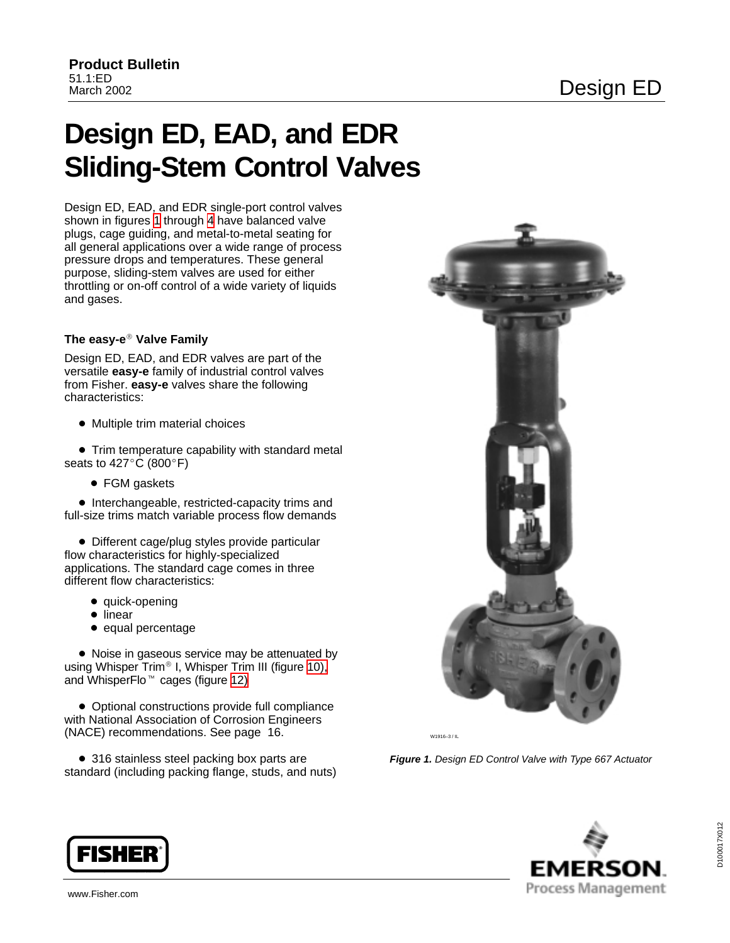# <span id="page-0-0"></span>**Design ED, EAD, and EDR Sliding-Stem Control Valves**

Design ED, EAD, and EDR single-port control valves shown in figures 1 through [4](#page-3-0) have balanced valve plugs, cage guiding, and metal-to-metal seating for all general applications over a wide range of process pressure drops and temperatures. These general purpose, sliding-stem valves are used for either throttling or on-off control of a wide variety of liquids and gases.

### **The easy-e Valve Family**

Design ED, EAD, and EDR valves are part of the versatile **easy-e** family of industrial control valves from Fisher. **easy-e** valves share the following characteristics:

 $\bullet$  Multiple trim material choices

**•** Trim temperature capability with standard metal seats to  $427^{\circ}$ C (800°F)

• FGM gaskets

- Interchangeable, restricted-capacity trims and full-size trims match variable process flow demands

- Different cage/plug styles provide particular flow characteristics for highly-specialized applications. The standard cage comes in three different flow characteristics:

- quick-opening
- linear
- equal percentage

• Noise in gaseous service may be attenuated by using Whisper Trim<sup>®</sup> I, Whisper Trim III (figure [10\),](#page-12-0) and WhisperFlo<sup>™</sup> cages (figure [12\)](#page-13-0)

- Optional constructions provide full compliance with National Association of Corrosion Engineers (NACE) recommendations. See page 16.

• 316 stainless steel packing box parts are standard (including packing flange, studs, and nuts)



W1916–3 / IL

**Figure 1.** Design ED Control Valve with Type 667 Actuator



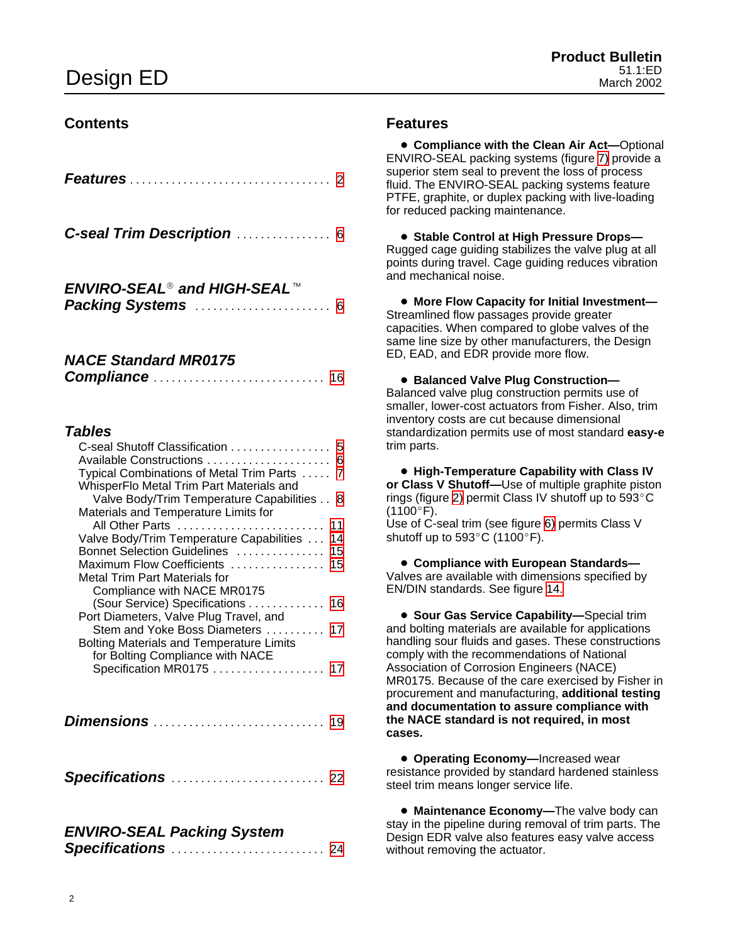### **Contents**

| C-seal Trim Description  6                                                                                                                                                                                                                                                                                                                                                                                                                                                                                                                     |
|------------------------------------------------------------------------------------------------------------------------------------------------------------------------------------------------------------------------------------------------------------------------------------------------------------------------------------------------------------------------------------------------------------------------------------------------------------------------------------------------------------------------------------------------|
| <b>ENVIRO-SEAL<sup>®</sup> and HIGH-SEAL</b> ™                                                                                                                                                                                                                                                                                                                                                                                                                                                                                                 |
| <b>NACE Standard MR0175</b>                                                                                                                                                                                                                                                                                                                                                                                                                                                                                                                    |
| <b>Tables</b><br>C-seal Shutoff Classification 5<br>Available Constructions<br>6<br>Typical Combinations of Metal Trim Parts<br>$\overline{7}$<br>WhisperFlo Metal Trim Part Materials and<br>Valve Body/Trim Temperature Capabilities<br>-8<br>Materials and Temperature Limits for<br>All Other Parts<br>11<br>Valve Body/Trim Temperature Capabilities<br>14<br>Bonnet Selection Guidelines<br>15<br>Maximum Flow Coefficients<br>15<br>Metal Trim Part Materials for<br>Compliance with NACE MR0175<br>(Sour Service) Specifications<br>16 |
| Port Diameters, Valve Plug Travel, and<br>Stem and Yoke Boss Diameters<br>17<br><b>Bolting Materials and Temperature Limits</b>                                                                                                                                                                                                                                                                                                                                                                                                                |

for Bolting Compliance with NACE Specification MR0[17](#page-16-0)5 . . . . . . . . . . . . . . . . . 17

**Dimensions** . . . . . . . . . . . . . . . . . . . . . . . . . . . . . [19](#page-18-0)

**Specifications** . . . . . . . . . . . . . . . . . . . . . . . . . . [22](#page-21-0)

### **ENVIRO-SEAL Packing System Specifications** . . . . . . . . . . . . . . . . . . . . . . . . . . [24](#page-23-0)

### **Features**

**• Compliance with the Clean Air Act-Optional** ENVIRO-SEAL packing systems (figure [7\)](#page-8-0) provide a superior stem seal to prevent the loss of process fluid. The ENVIRO-SEAL packing systems feature PTFE, graphite, or duplex packing with live-loading for reduced packing maintenance.

- **Stable Control at High Pressure Drops—** Rugged cage guiding stabilizes the valve plug at all points during travel. Cage guiding reduces vibration and mechanical noise.

- **More Flow Capacity for Initial Investment—** Streamlined flow passages provide greater capacities. When compared to globe valves of the same line size by other manufacturers, the Design ED, EAD, and EDR provide more flow.

- **Balanced Valve Plug Construction—** Balanced valve plug construction permits use of smaller, lower-cost actuators from Fisher. Also, trim inventory costs are cut because dimensional standardization permits use of most standard **easy-e** trim parts.

- **High-Temperature Capability with Class IV or Class V Shutoff—**Use of multiple graphite piston rings (figure [2\)](#page-2-0) permit Class IV shutoff up to  $593^{\circ}$ C  $(1100^{\circ}F).$ 

Use of C-seal trim (see figure [6\)](#page-4-0) permits Class V shutoff up to  $593^{\circ}$ C (1100°F).

- **Compliance with European Standards—** Valves are available with dimensions specified by EN/DIN standards. See figure [14.](#page-18-0)

**• Sour Gas Service Capability—Special trim** and bolting materials are available for applications handling sour fluids and gases. These constructions comply with the recommendations of National Association of Corrosion Engineers (NACE) MR0175. Because of the care exercised by Fisher in procurement and manufacturing, **additional testing and documentation to assure compliance with the NACE standard is not required, in most cases.**

**• Operating Economy-Increased wear** resistance provided by standard hardened stainless steel trim means longer service life.

**• Maintenance Economy-The valve body can** stay in the pipeline during removal of trim parts. The Design EDR valve also features easy valve access without removing the actuator.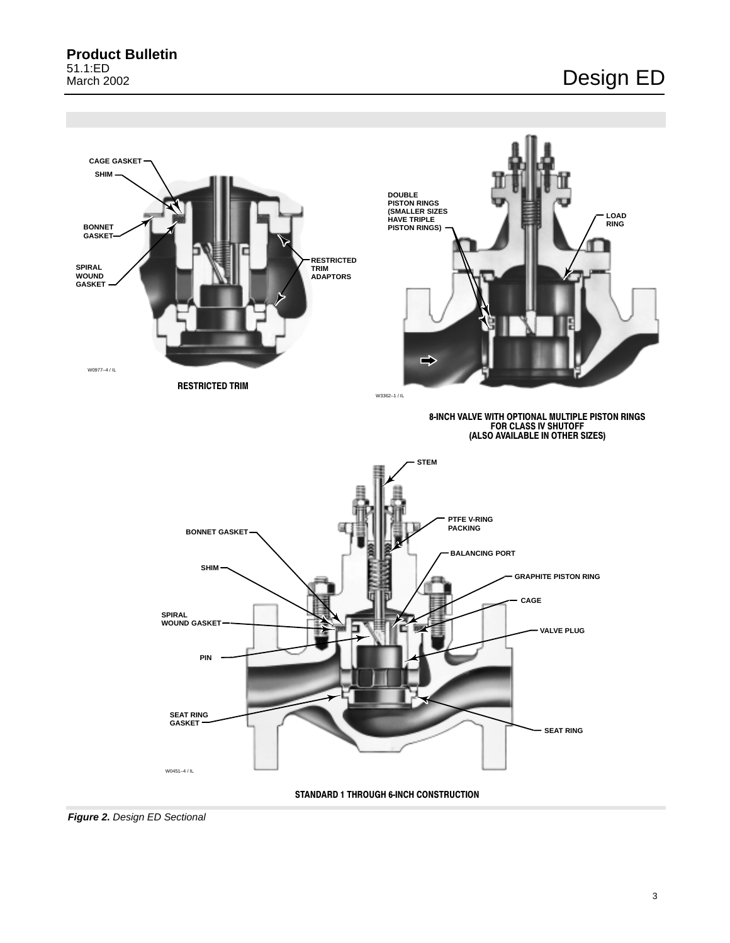<span id="page-2-0"></span>**Product Bulletin** 51.1:ED March 2002

## Design ED



**Figure 2.** Design ED Sectional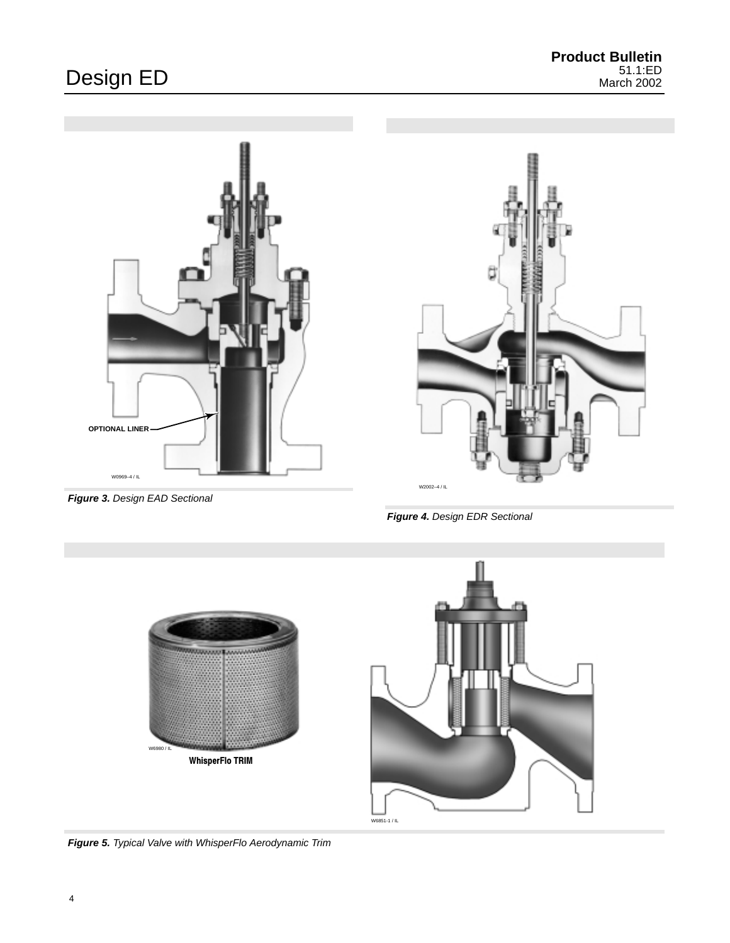<span id="page-3-0"></span>



**Figure 3.** Design EAD Sectional

**Figure 4.** Design EDR Sectional





**Figure 5.** Typical Valve with WhisperFlo Aerodynamic Trim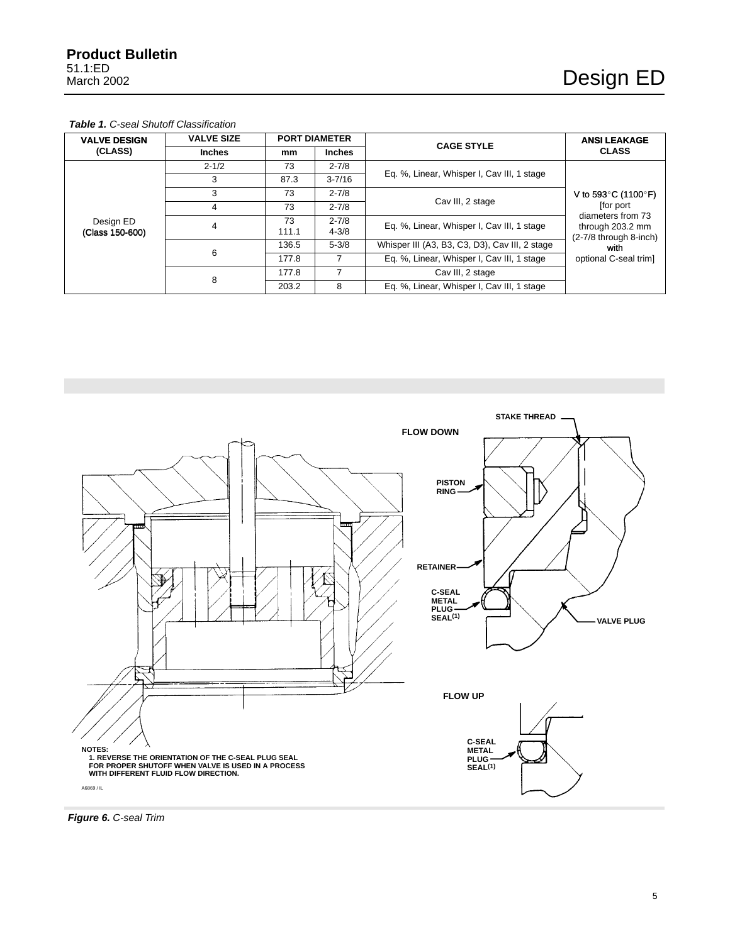#### <span id="page-4-0"></span>**Table 1.** C-seal Shutoff Classification

| <b>VALVE DESIGN</b> | <b>VALVE SIZE</b> |       | <b>PORT DIAMETER</b> | <b>CAGE STYLE</b>                              | <b>ANSI LEAKAGE</b>                                                     |
|---------------------|-------------------|-------|----------------------|------------------------------------------------|-------------------------------------------------------------------------|
| (CLASS)             | <b>Inches</b>     | mm    | <b>Inches</b>        |                                                | <b>CLASS</b>                                                            |
|                     | $2 - 1/2$         | 73    | $2 - 7/8$            |                                                |                                                                         |
|                     | 3                 | 87.3  | $3 - 7/16$           | Eq. %, Linear, Whisper I, Cav III, 1 stage     |                                                                         |
|                     | 3                 | 73    | $2 - 7/8$            | Cav III, 2 stage                               | V to 593 $^{\circ}$ C (1100 $^{\circ}$ F)                               |
|                     | 4                 | 73    | $2 - 7/8$            |                                                | for port                                                                |
| Design ED           | 4                 | 73    | $2 - 7/8$            | Eq. %, Linear, Whisper I, Cav III, 1 stage     | diameters from 73<br>through 203.2 mm<br>(2-7/8 through 8-inch)<br>with |
| (Class 150-600)     |                   | 111.1 | $4 - 3/8$            |                                                |                                                                         |
|                     | 6                 | 136.5 | $5 - 3/8$            | Whisper III (A3, B3, C3, D3), Cav III, 2 stage |                                                                         |
|                     |                   | 177.8 |                      | Eq. %, Linear, Whisper I, Cav III, 1 stage     | optional C-seal trim]                                                   |
|                     |                   | 177.8 |                      | Cav III, 2 stage                               |                                                                         |
|                     | 8                 | 203.2 | 8                    | Eq. %, Linear, Whisper I, Cav III, 1 stage     |                                                                         |



**Figure 6.** C-seal Trim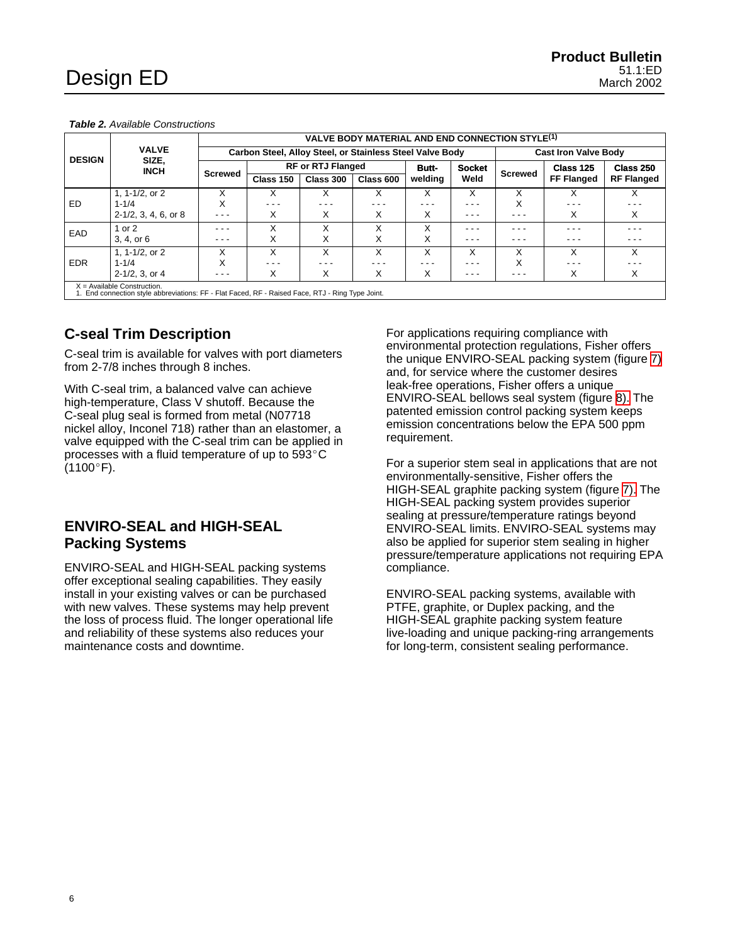|               |                                                                                                                                   | <b>VALVE BODY MATERIAL AND END CONNECTION STYLE(1)</b> |                                                                                         |           |                           |              |               |                |                   |                   |  |
|---------------|-----------------------------------------------------------------------------------------------------------------------------------|--------------------------------------------------------|-----------------------------------------------------------------------------------------|-----------|---------------------------|--------------|---------------|----------------|-------------------|-------------------|--|
| <b>DESIGN</b> | <b>VALVE</b><br>SIZE,<br><b>INCH</b>                                                                                              |                                                        | Carbon Steel, Alloy Steel, or Stainless Steel Valve Body<br><b>Cast Iron Valve Body</b> |           |                           |              |               |                |                   |                   |  |
|               |                                                                                                                                   | <b>Screwed</b>                                         | <b>RF or RTJ Flanged</b>                                                                |           |                           | <b>Butt-</b> | <b>Socket</b> | <b>Screwed</b> | Class 125         | Class 250         |  |
|               |                                                                                                                                   |                                                        | Class 150                                                                               | Class 300 | Class 600                 | welding      | Weld          |                | <b>FF Flanged</b> | <b>RF Flanged</b> |  |
|               | 1, $1 - 1/2$ , or $2$                                                                                                             | x                                                      | x                                                                                       | X         | X                         | X            | X             | X              | X                 |                   |  |
| ED            | $1 - 1/4$                                                                                                                         | X                                                      | $- - -$                                                                                 | - - -     | - - -                     | - - -        | - - -         | X              |                   |                   |  |
|               | $2-1/2$ , 3, 4, 6, or 8                                                                                                           | - - -                                                  | X                                                                                       | X         | X                         | X            | - - -         | - - -          | X                 | X                 |  |
| EAD           | 1 or $2$                                                                                                                          | - - -                                                  |                                                                                         | x         | $\checkmark$<br>$\lambda$ | X            | - - -         | - - -          | - - -             |                   |  |
|               | 3, 4, or 6                                                                                                                        | - - -                                                  | х                                                                                       | X         | X                         | X            | - - -         | - - -          |                   | - - -             |  |
|               | 1, 1-1/2, or 2                                                                                                                    | X                                                      | X                                                                                       | X         | X                         | X            | X             | X              | X                 | X                 |  |
| <b>EDR</b>    | $1 - 1/4$                                                                                                                         | X                                                      | $- - -$                                                                                 | - - -     | - - -                     | - - -        | - - -         | X              | $- - -$           |                   |  |
|               | $2 - 1/2$ , 3, or 4                                                                                                               | $- - -$                                                | Χ                                                                                       | X         | X                         | X            | - - -         | - - -          | X                 | X                 |  |
|               | $X =$ Available Construction.<br>1. End connection style abbreviations: FF - Flat Faced, RF - Raised Face, RTJ - Ring Type Joint. |                                                        |                                                                                         |           |                           |              |               |                |                   |                   |  |

<span id="page-5-0"></span>**Table 2.** Available Constructions

**C-seal Trim Description**

C-seal trim is available for valves with port diameters from 2-7/8 inches through 8 inches.

With C-seal trim, a balanced valve can achieve high-temperature, Class V shutoff. Because the C-seal plug seal is formed from metal (N07718 nickel alloy, Inconel 718) rather than an elastomer, a valve equipped with the C-seal trim can be applied in processes with a fluid temperature of up to  $593^{\circ}$ C  $(1100^{\circ}F)$ .

### **ENVIRO-SEAL and HIGH-SEAL Packing Systems**

ENVIRO-SEAL and HIGH-SEAL packing systems offer exceptional sealing capabilities. They easily install in your existing valves or can be purchased with new valves. These systems may help prevent the loss of process fluid. The longer operational life and reliability of these systems also reduces your maintenance costs and downtime.

For applications requiring compliance with environmental protection regulations, Fisher offers the unique ENVIRO-SEAL packing system (figure [7\)](#page-8-0) and, for service where the customer desires leak-free operations, Fisher offers a unique ENVIRO-SEAL bellows seal system (figure [8\).](#page-9-0) The patented emission control packing system keeps emission concentrations below the EPA 500 ppm requirement.

For a superior stem seal in applications that are not environmentally-sensitive, Fisher offers the HIGH-SEAL graphite packing system (figure [7\).](#page-8-0) The HIGH-SEAL packing system provides superior sealing at pressure/temperature ratings beyond ENVIRO-SEAL limits. ENVIRO-SEAL systems may also be applied for superior stem sealing in higher pressure/temperature applications not requiring EPA compliance.

ENVIRO-SEAL packing systems, available with PTFE, graphite, or Duplex packing, and the HIGH-SEAL graphite packing system feature live-loading and unique packing-ring arrangements for long-term, consistent sealing performance.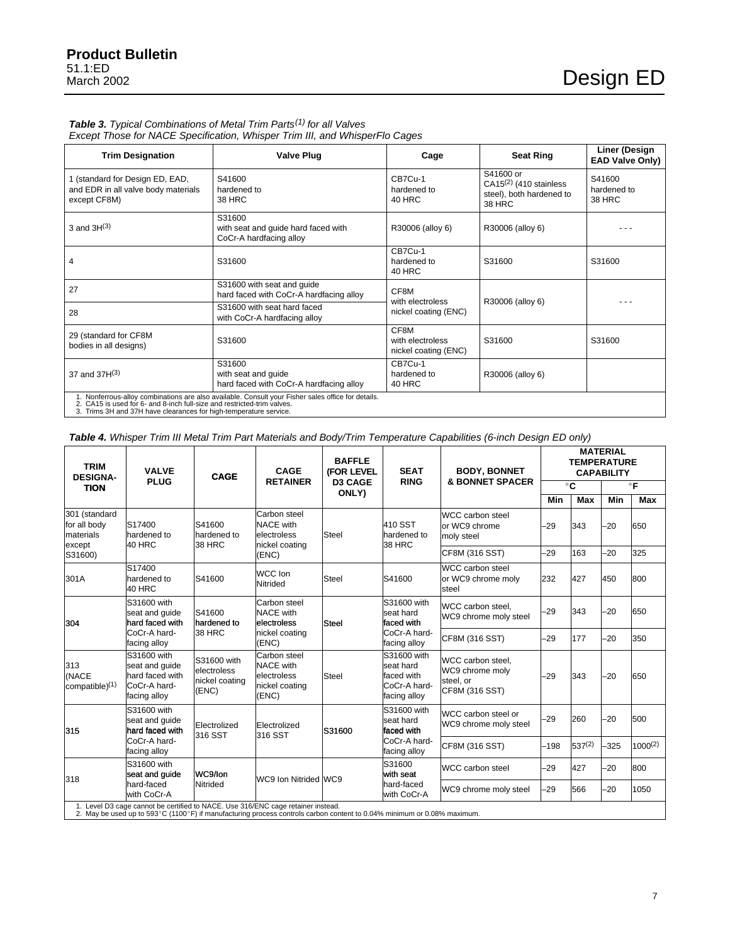### <span id="page-6-0"></span>Table 3. Typical Combinations of Metal Trim Parts<sup>(1)</sup> for all Valves

Except Those for NACE Specification, Whisper Trim III, and WhisperFlo Cages

| <b>Trim Designation</b>                                                                                                                   | <b>Valve Plug</b>                                                                                  | Cage                                             | <b>Seat Ring</b>                                                                   | Liner (Design<br><b>EAD Valve Only)</b> |
|-------------------------------------------------------------------------------------------------------------------------------------------|----------------------------------------------------------------------------------------------------|--------------------------------------------------|------------------------------------------------------------------------------------|-----------------------------------------|
| 1 (standard for Design ED, EAD,<br>and EDR in all valve body materials<br>except CF8M)                                                    | S41600<br>hardened to<br>38 HRC                                                                    | CB7Cu-1<br>hardened to<br>40 HRC                 | S41600 or<br>$CA15(2)$ (410 stainless<br>steel), both hardened to<br><b>38 HRC</b> | S41600<br>hardened to<br>38 HRC         |
| 3 and $3H^{(3)}$                                                                                                                          | S31600<br>with seat and guide hard faced with<br>CoCr-A hardfacing alloy                           | R30006 (alloy 6)                                 | R30006 (alloy 6)                                                                   |                                         |
| 4                                                                                                                                         | S31600                                                                                             | CB7Cu-1<br>hardened to<br>40 HRC                 | S31600                                                                             | S31600                                  |
| 27                                                                                                                                        | S31600 with seat and guide<br>hard faced with CoCr-A hardfacing alloy                              | CF8M<br>with electroless                         | R30006 (alloy 6)                                                                   |                                         |
| 28                                                                                                                                        | S31600 with seat hard faced<br>with CoCr-A hardfacing alloy                                        | nickel coating (ENC)                             |                                                                                    |                                         |
| 29 (standard for CF8M<br>bodies in all designs)                                                                                           | S31600                                                                                             | CF8M<br>with electroless<br>nickel coating (ENC) | S31600                                                                             | S31600                                  |
| 37 and $37H^{(3)}$                                                                                                                        | S31600<br>with seat and quide<br>hard faced with CoCr-A hardfacing alloy                           | CB7Cu-1<br>hardened to<br>40 HRC                 | R30006 (alloy 6)                                                                   |                                         |
| CA15 is used for 6- and 8-inch full-size and restricted-trim valves.<br>3. Trims 3H and 37H have clearances for high-temperature service. | 1. Nonferrous-alloy combinations are also available. Consult your Fisher sales office for details. |                                                  |                                                                                    |                                         |

**Table 4.** Whisper Trim III Metal Trim Part Materials and Body/Trim Temperature Capabilities (6-inch Design ED only)

| <b>TRIM</b><br><b>DESIGNA-</b>                       | <b>VALVE</b>                                                                                                                                                                                               | <b>CAGE</b>                                           | <b>CAGE</b><br><b>RETAINER</b>                                             | <b>BAFFLE</b><br>(FOR LEVEL<br><b>D3 CAGE</b><br>ONLY) | <b>SEAT</b>                                                            | <b>BODY, BONNET</b>                                                 |              |              | <b>MATERIAL</b><br><b>TEMPERATURE</b><br><b>CAPABILITY</b> |      |
|------------------------------------------------------|------------------------------------------------------------------------------------------------------------------------------------------------------------------------------------------------------------|-------------------------------------------------------|----------------------------------------------------------------------------|--------------------------------------------------------|------------------------------------------------------------------------|---------------------------------------------------------------------|--------------|--------------|------------------------------------------------------------|------|
| <b>TION</b>                                          | <b>PLUG</b>                                                                                                                                                                                                |                                                       |                                                                            |                                                        | <b>RING</b>                                                            | <b>&amp; BONNET SPACER</b>                                          | $^{\circ}$ C |              | $\circ$ F                                                  |      |
|                                                      |                                                                                                                                                                                                            |                                                       |                                                                            |                                                        |                                                                        |                                                                     | Min          | Max          | Min                                                        | Max  |
| 301 (standard<br>for all body<br>materials<br>except | S17400<br>hardened to<br>40 HRC                                                                                                                                                                            | S41600<br>hardened to<br>38 HRC                       | Carbon steel<br><b>NACE</b> with<br>electroless<br>nickel coating          | <b>Steel</b>                                           | 410 SST<br>hardened to<br>38 HRC                                       | <b>WCC carbon steel</b><br>or WC9 chrome<br>moly steel              | $-29$        | 343          | $-20$                                                      | 650  |
| S31600)                                              |                                                                                                                                                                                                            |                                                       | (ENC)                                                                      |                                                        |                                                                        | CF8M (316 SST)                                                      | $-29$        | 163          | $-20$                                                      | 325  |
| 301A                                                 | S17400<br>hardened to<br>40 HRC                                                                                                                                                                            | S41600                                                | WCC Ion<br>Nitrided                                                        | <b>Steel</b>                                           | S41600                                                                 | WCC carbon steel<br>or WC9 chrome molv<br>steel                     | 232          | 427          | 450                                                        | 800  |
| 304                                                  | S31600 with<br>seat and quide<br>hard faced with                                                                                                                                                           | S41600<br>hardened to                                 | Carbon steel<br><b>NACE with</b><br>electroless                            | Steel                                                  | S31600 with<br>seat hard<br>faced with                                 | WCC carbon steel,<br>WC9 chrome moly steel                          | $-29$        | 343          | $-20$                                                      | 650  |
|                                                      | CoCr-A hard-<br>facing alloy                                                                                                                                                                               | 38 HRC                                                | nickel coating<br>(ENC)                                                    | CoCr-A hard-<br>facing alloy                           | CF8M (316 SST)                                                         | $-29$                                                               | 177          | $-20$        | 350                                                        |      |
| 313<br>(NACE<br>compatible $(1)$                     | S31600 with<br>seat and quide<br>hard faced with<br>CoCr-A hard-<br>facing alloy                                                                                                                           | S31600 with<br>electroless<br>nickel coating<br>(ENC) | Carbon steel<br><b>NACE</b> with<br>electroless<br>nickel coating<br>(ENC) | Steel                                                  | S31600 with<br>seat hard<br>faced with<br>CoCr-A hard-<br>facing alloy | WCC carbon steel.<br>WC9 chrome moly<br>steel. or<br>CF8M (316 SST) | $-29$        | 343          | $-20$                                                      | 650  |
| 315                                                  | S31600 with<br>seat and quide<br>hard faced with                                                                                                                                                           | Electrolized<br>316 SST                               | Electrolized<br>316 SST                                                    | S31600                                                 | S31600 with<br>seat hard<br>faced with                                 | WCC carbon steel or<br>WC9 chrome moly steel                        | $-29$        | 260          | $-20$                                                      | 500  |
|                                                      | CoCr-A hard-<br>facing alloy                                                                                                                                                                               |                                                       | CoCr-A hard-<br>facing alloy                                               | CF8M (316 SST)                                         | $-198$                                                                 | $537^{(2)}$                                                         | $-325$       | $1000^{(2)}$ |                                                            |      |
| 318                                                  | S31600 with<br>seat and guide                                                                                                                                                                              | WC9/lon                                               |                                                                            |                                                        | S31600<br>with seat                                                    | <b>WCC carbon steel</b>                                             | -29          | 427          | $-20$                                                      | 800  |
|                                                      | hard-faced<br>with CoCr-A                                                                                                                                                                                  | Nitrided                                              | WC9 Ion Nitrided WC9                                                       |                                                        | hard-faced<br>with CoCr-A                                              | WC9 chrome moly steel                                               | $-29$        | 566          | $-20$                                                      | 1050 |
|                                                      | 1. Level D3 cage cannot be certified to NACE. Use 316/ENC cage retainer instead.<br>2. May be used up to 593°C (1100°F) if manufacturing process controls carbon content to 0.04% minimum or 0.08% maximum |                                                       |                                                                            |                                                        |                                                                        |                                                                     |              |              |                                                            |      |

2. May be used up to 593°C (1100°F) if manufacturing process controls carbon content to 0.04% minimum or 0.08% maximum.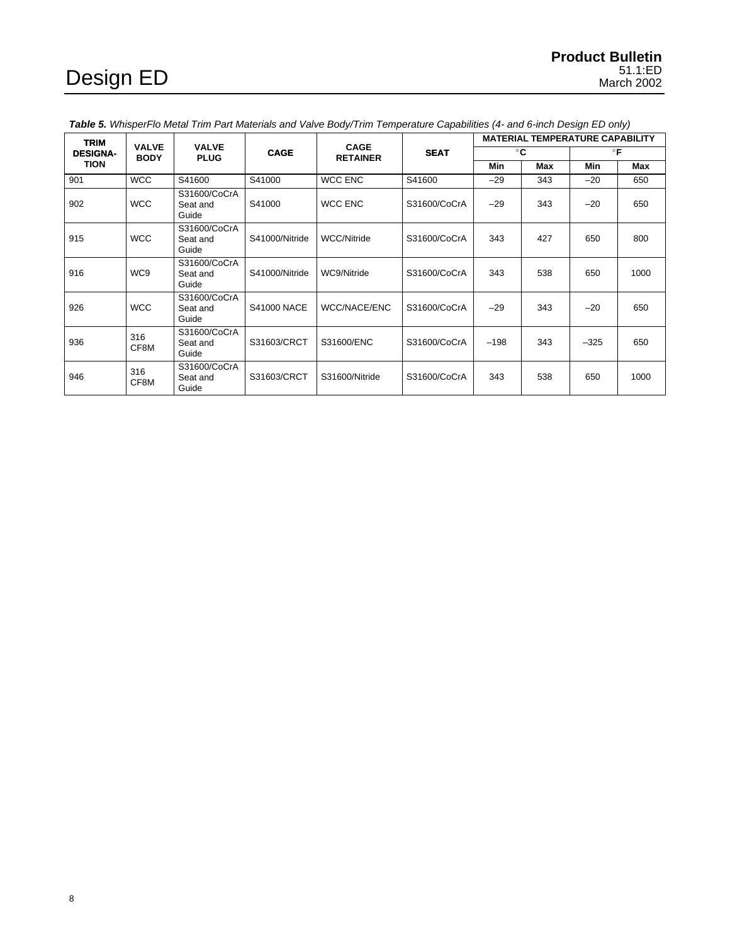| <b>TRIM</b>     |             | <b>VALVE</b><br><b>VALVE</b>      |                    | CAGE                |              |              |            | <b>MATERIAL TEMPERATURE CAPABILITY</b> |      |
|-----------------|-------------|-----------------------------------|--------------------|---------------------|--------------|--------------|------------|----------------------------------------|------|
| <b>DESIGNA-</b> | <b>BODY</b> | <b>PLUG</b>                       | <b>CAGE</b>        | <b>RETAINER</b>     | <b>SEAT</b>  | $^{\circ}$ C |            | $\circ$ F                              |      |
| <b>TION</b>     |             |                                   |                    |                     |              | <b>Min</b>   | <b>Max</b> | Min                                    | Max  |
| 901             | <b>WCC</b>  | S41600                            | S41000             | <b>WCC ENC</b>      | S41600       | $-29$        | 343        | $-20$                                  | 650  |
| 902             | <b>WCC</b>  | S31600/CoCrA<br>Seat and<br>Guide | S41000             | <b>WCC ENC</b>      | S31600/CoCrA | $-29$        | 343        | $-20$                                  | 650  |
| 915             | <b>WCC</b>  | S31600/CoCrA<br>Seat and<br>Guide | S41000/Nitride     | <b>WCC/Nitride</b>  | S31600/CoCrA | 343          | 427        | 650                                    | 800  |
| 916             | WC9         | S31600/CoCrA<br>Seat and<br>Guide | S41000/Nitride     | WC9/Nitride         | S31600/CoCrA | 343          | 538        | 650                                    | 1000 |
| 926             | <b>WCC</b>  | S31600/CoCrA<br>Seat and<br>Guide | <b>S41000 NACE</b> | <b>WCC/NACE/ENC</b> | S31600/CoCrA | $-29$        | 343        | $-20$                                  | 650  |
| 936             | 316<br>CF8M | S31600/CoCrA<br>Seat and<br>Guide | S31603/CRCT        | S31600/ENC          | S31600/CoCrA | $-198$       | 343        | $-325$                                 | 650  |
| 946             | 316<br>CF8M | S31600/CoCrA<br>Seat and<br>Guide | S31603/CRCT        | S31600/Nitride      | S31600/CoCrA | 343          | 538        | 650                                    | 1000 |

<span id="page-7-0"></span>**Table 5.** WhisperFlo Metal Trim Part Materials and Valve Body/Trim Temperature Capabilities (4- and 6-inch Design ED only)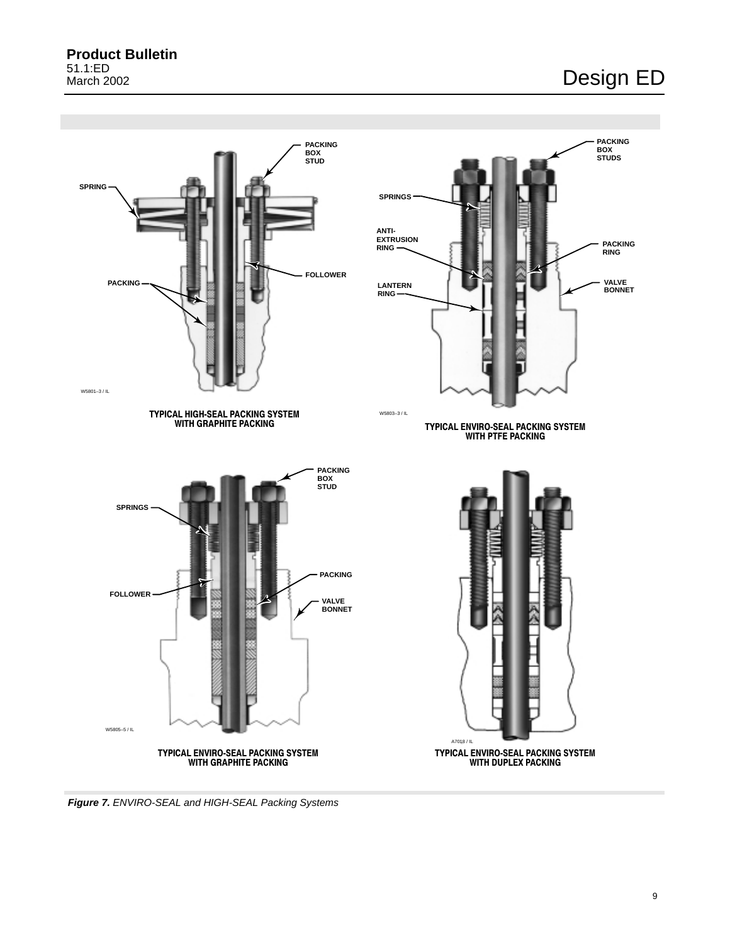<span id="page-8-0"></span>

**Figure 7.** ENVIRO-SEAL and HIGH-SEAL Packing Systems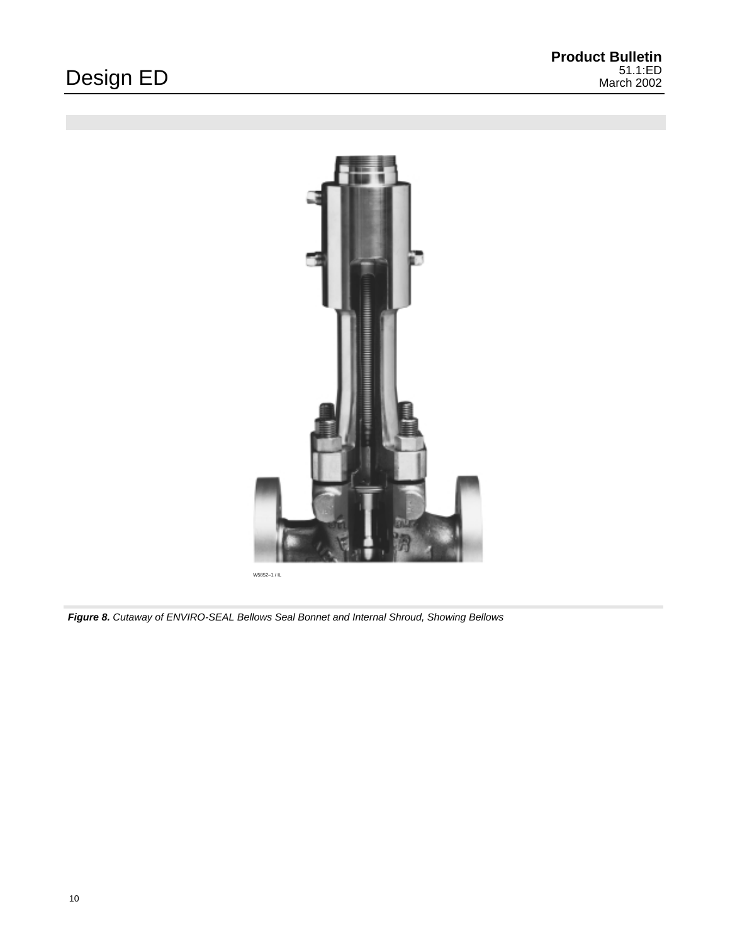<span id="page-9-0"></span>

W5852–1 / IL

**Figure 8.** Cutaway of ENVIRO-SEAL Bellows Seal Bonnet and Internal Shroud, Showing Bellows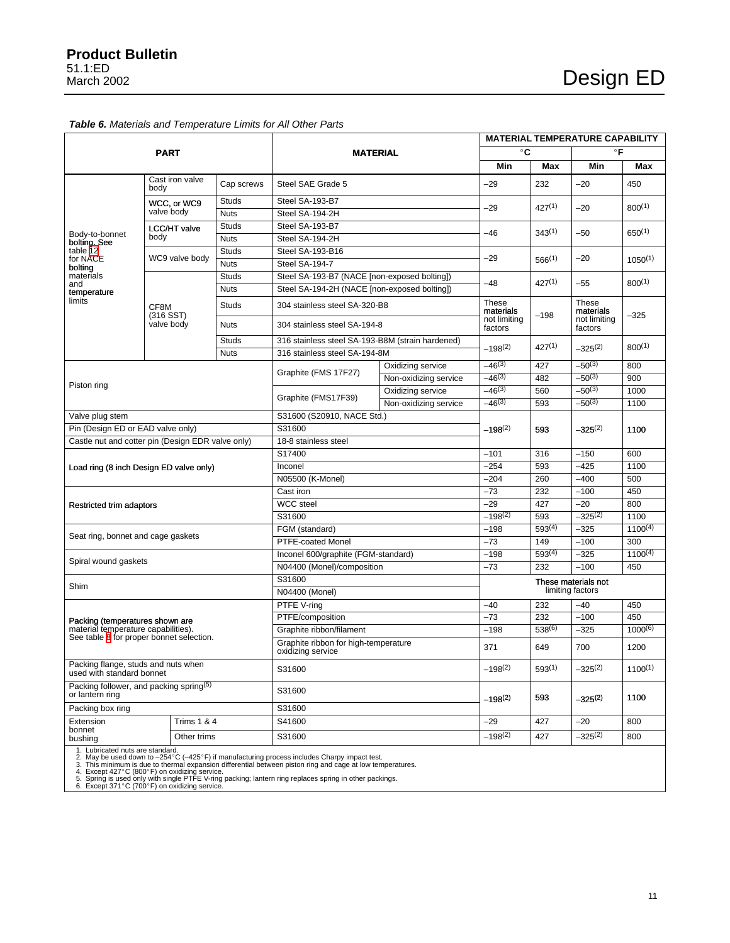### <span id="page-10-0"></span>**Table 6.** Materials and Temperature Limits for All Other Parts

|                                                                                                                                                                                                                                                                                                                                                                                                                                                             |                            |                      | <b>MATERIAL TEMPERATURE CAPABILITY</b>                    |                       |                         |                     |                                               |              |
|-------------------------------------------------------------------------------------------------------------------------------------------------------------------------------------------------------------------------------------------------------------------------------------------------------------------------------------------------------------------------------------------------------------------------------------------------------------|----------------------------|----------------------|-----------------------------------------------------------|-----------------------|-------------------------|---------------------|-----------------------------------------------|--------------|
|                                                                                                                                                                                                                                                                                                                                                                                                                                                             | <b>PART</b>                |                      | <b>MATERIAL</b>                                           |                       | °C                      |                     | $\circ$ F                                     |              |
|                                                                                                                                                                                                                                                                                                                                                                                                                                                             |                            |                      |                                                           |                       | Min                     | Max                 | Min                                           | Max          |
|                                                                                                                                                                                                                                                                                                                                                                                                                                                             | Cast iron valve<br>body    | Cap screws           | Steel SAE Grade 5                                         |                       | $-29$                   | 232                 | $-20$                                         | 450          |
|                                                                                                                                                                                                                                                                                                                                                                                                                                                             | WCC, or WC9                | <b>Studs</b>         | Steel SA-193-B7                                           |                       |                         |                     |                                               |              |
|                                                                                                                                                                                                                                                                                                                                                                                                                                                             | valve body                 | <b>Nuts</b>          | Steel SA-194-2H                                           |                       | -29                     | $427^{(1)}$         | -20                                           | $800^{(1)}$  |
|                                                                                                                                                                                                                                                                                                                                                                                                                                                             | LCC/HT valve               | <b>Studs</b>         | Steel SA-193-B7                                           |                       | -46                     |                     |                                               |              |
| Body-to-bonnet<br>bolting. See                                                                                                                                                                                                                                                                                                                                                                                                                              | body                       | <b>Nuts</b>          | Steel SA-194-2H                                           |                       |                         | $343^{(1)}$         | -50                                           | $650^{(1)}$  |
| table 12                                                                                                                                                                                                                                                                                                                                                                                                                                                    |                            | <b>Studs</b>         | Steel SA-193-B16                                          |                       |                         |                     |                                               |              |
| for NACE<br>bolting                                                                                                                                                                                                                                                                                                                                                                                                                                         | WC9 valve body             | <b>Nuts</b>          | Steel SA-194-7                                            |                       | $-29$                   | $566^{(1)}$         | -20                                           | $1050^{(1)}$ |
| materials                                                                                                                                                                                                                                                                                                                                                                                                                                                   |                            | Studs                | Steel SA-193-B7 (NACE [non-exposed bolting])              |                       |                         |                     |                                               |              |
| and<br>temperature                                                                                                                                                                                                                                                                                                                                                                                                                                          |                            | <b>Nuts</b>          | Steel SA-194-2H (NACE [non-exposed bolting])              |                       | -48                     | $427^{(1)}$         | -55                                           | $800^{(1)}$  |
| limits                                                                                                                                                                                                                                                                                                                                                                                                                                                      | CF8M                       | Studs                | 304 stainless steel SA-320-B8                             |                       | These<br>materials      | $-198$              | These<br>materials<br>not limiting<br>factors |              |
|                                                                                                                                                                                                                                                                                                                                                                                                                                                             | (316 SST)<br>valve body    | <b>Nuts</b>          | 304 stainless steel SA-194-8                              |                       | not limiting<br>factors |                     |                                               | $-325$       |
|                                                                                                                                                                                                                                                                                                                                                                                                                                                             |                            | Studs                | 316 stainless steel SA-193-B8M (strain hardened)          |                       | $-198^{(2)}$            | $427^{(1)}$         | $-325^{(2)}$                                  | $800^{(1)}$  |
|                                                                                                                                                                                                                                                                                                                                                                                                                                                             |                            | <b>Nuts</b>          | 316 stainless steel SA-194-8M                             |                       |                         |                     |                                               |              |
|                                                                                                                                                                                                                                                                                                                                                                                                                                                             |                            |                      | Graphite (FMS 17F27)                                      | Oxidizing service     | $-46^{(3)}$             | 427                 | $-50^{(3)}$                                   | 800          |
| Piston ring                                                                                                                                                                                                                                                                                                                                                                                                                                                 |                            |                      |                                                           | Non-oxidizing service | $-46^{(3)}$             | 482                 | $-50^{(3)}$                                   | 900          |
|                                                                                                                                                                                                                                                                                                                                                                                                                                                             |                            |                      | Graphite (FMS17F39)                                       | Oxidizing service     | $-46^{(3)}$             | 560                 | $-50^{(3)}$                                   | 1000         |
|                                                                                                                                                                                                                                                                                                                                                                                                                                                             |                            |                      |                                                           | Non-oxidizing service | $-46^{(3)}$             | 593                 | $-50^{(3)}$                                   | 1100         |
| Valve plug stem                                                                                                                                                                                                                                                                                                                                                                                                                                             | S31600 (S20910, NACE Std.) |                      |                                                           |                       |                         |                     |                                               |              |
| Pin (Design ED or EAD valve only)                                                                                                                                                                                                                                                                                                                                                                                                                           |                            |                      | S31600                                                    |                       | $-198^{(2)}$            | 593                 | $-325^{(2)}$                                  | 1100         |
| Castle nut and cotter pin (Design EDR valve only)                                                                                                                                                                                                                                                                                                                                                                                                           |                            | 18-8 stainless steel |                                                           |                       |                         |                     |                                               |              |
|                                                                                                                                                                                                                                                                                                                                                                                                                                                             |                            | S17400               | $-101$                                                    | 316                   | $-150$                  | 600                 |                                               |              |
| Load ring (8 inch Design ED valve only)                                                                                                                                                                                                                                                                                                                                                                                                                     |                            |                      | Inconel                                                   | $-254$                | 593                     | $-425$              | 1100                                          |              |
|                                                                                                                                                                                                                                                                                                                                                                                                                                                             |                            |                      | N05500 (K-Monel)                                          | $-204$                | 260                     | $-400$              | 500                                           |              |
|                                                                                                                                                                                                                                                                                                                                                                                                                                                             |                            |                      | Cast iron                                                 | $-73$                 | 232                     | $-100$              | 450                                           |              |
| Restricted trim adaptors                                                                                                                                                                                                                                                                                                                                                                                                                                    |                            |                      | <b>WCC</b> steel                                          | $-29$                 | 427                     | $-20$               | 800                                           |              |
|                                                                                                                                                                                                                                                                                                                                                                                                                                                             |                            |                      | S31600                                                    | $-198(2)$             | 593                     | $-325^{(2)}$        | 1100                                          |              |
|                                                                                                                                                                                                                                                                                                                                                                                                                                                             |                            |                      | FGM (standard)                                            | $-198$                | $593^{(4)}$             | $-325$              | $1100^{(4)}$                                  |              |
| Seat ring, bonnet and cage gaskets                                                                                                                                                                                                                                                                                                                                                                                                                          |                            |                      | PTFE-coated Monel                                         | $-73$                 | 149                     | $-100$              | 300                                           |              |
|                                                                                                                                                                                                                                                                                                                                                                                                                                                             |                            |                      | Inconel 600/graphite (FGM-standard)                       | $-198$                | $593^{(4)}$             | $-325$              | $1100^{(4)}$                                  |              |
| Spiral wound gaskets                                                                                                                                                                                                                                                                                                                                                                                                                                        |                            |                      | N04400 (Monel)/composition                                |                       | $-73$                   | 232                 | $-100$                                        | 450          |
| Shim                                                                                                                                                                                                                                                                                                                                                                                                                                                        |                            |                      | S31600                                                    |                       |                         |                     | These materials not                           |              |
|                                                                                                                                                                                                                                                                                                                                                                                                                                                             |                            |                      | N04400 (Monel)                                            |                       |                         |                     | limiting factors                              |              |
|                                                                                                                                                                                                                                                                                                                                                                                                                                                             |                            |                      | PTFE V-ring                                               |                       | $-40$                   | 232                 | $-40$                                         | 450          |
| Packing (temperatures shown are                                                                                                                                                                                                                                                                                                                                                                                                                             |                            |                      | PTFE/composition                                          |                       | $-73$                   | 232                 | $-100$                                        | 450          |
| material temperature capabilities).<br>See table 8 for proper bonnet selection.                                                                                                                                                                                                                                                                                                                                                                             |                            |                      | Graphite ribbon/filament                                  |                       | $-198$                  | $538^{(6)}$         | $-325$                                        | $1000^{(6)}$ |
|                                                                                                                                                                                                                                                                                                                                                                                                                                                             |                            |                      | Graphite ribbon for high-temperature<br>oxidizing service |                       | 371                     | 649                 | 700                                           | 1200         |
| Packing flange, studs and nuts when<br>used with standard bonnet                                                                                                                                                                                                                                                                                                                                                                                            |                            |                      | S31600                                                    |                       | $-198(2)$               | $593^{(1)}$         | –325(2)                                       | $1100^{(1)}$ |
| Packing follower, and packing spring <sup>(5)</sup><br>or lantern ring                                                                                                                                                                                                                                                                                                                                                                                      |                            | S31600               |                                                           | $-198^{(2)}$          | 593                     | –325 <sup>(2)</sup> | 1100                                          |              |
| Packing box ring                                                                                                                                                                                                                                                                                                                                                                                                                                            | S31600                     |                      |                                                           |                       |                         |                     |                                               |              |
| Extension                                                                                                                                                                                                                                                                                                                                                                                                                                                   | <b>Trims 1 &amp; 4</b>     |                      | S41600                                                    |                       | $-29$                   | 427                 | -20                                           | 800          |
| bonnet<br>bushing                                                                                                                                                                                                                                                                                                                                                                                                                                           | Other trims                |                      | S31600                                                    |                       | $-198^{(2)}$            | 427                 | $-325^{(2)}$                                  | 800          |
| 1. Lubricated nuts are standard.<br>2. May be used down to -254°C (-425°F) if manufacturing process includes Charpy impact test.<br>3. This minimum is due to thermal expansion differential between piston ring and cage at low temperatures.<br>4. Except 427°C (800°F) on oxidizing service.<br>5. Spring is used only with single PTFE V-ring packing; lantern ring replaces spring in other packings.<br>6. Except 371°C (700°F) on oxidizing service. |                            |                      |                                                           |                       |                         |                     |                                               |              |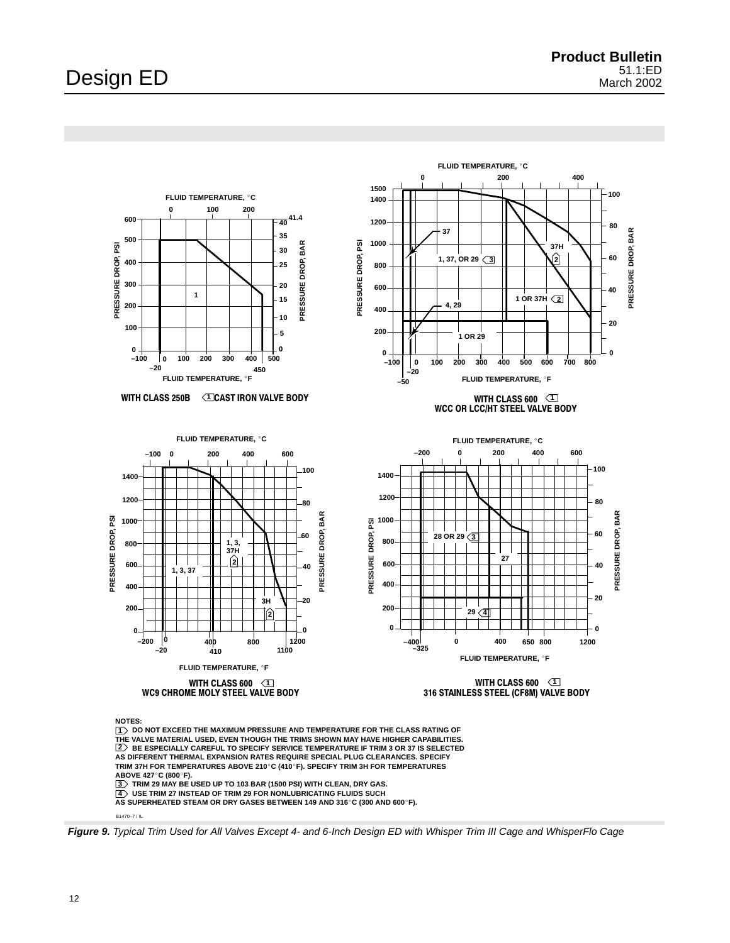<span id="page-11-0"></span>

B1470–7 / IL

**Figure 9.** Typical Trim Used for All Valves Except 4- and 6-Inch Design ED with Whisper Trim III Cage and WhisperFlo Cage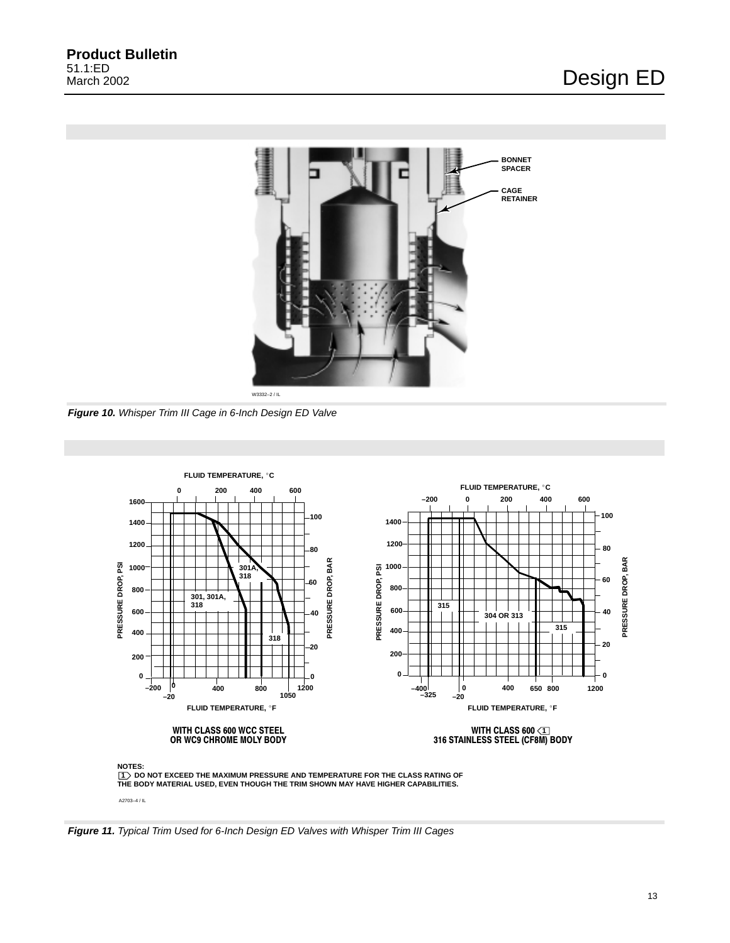<span id="page-12-0"></span>

**Figure 10.** Whisper Trim III Cage in 6-Inch Design ED Valve



**Figure 11.** Typical Trim Used for 6-Inch Design ED Valves with Whisper Trim III Cages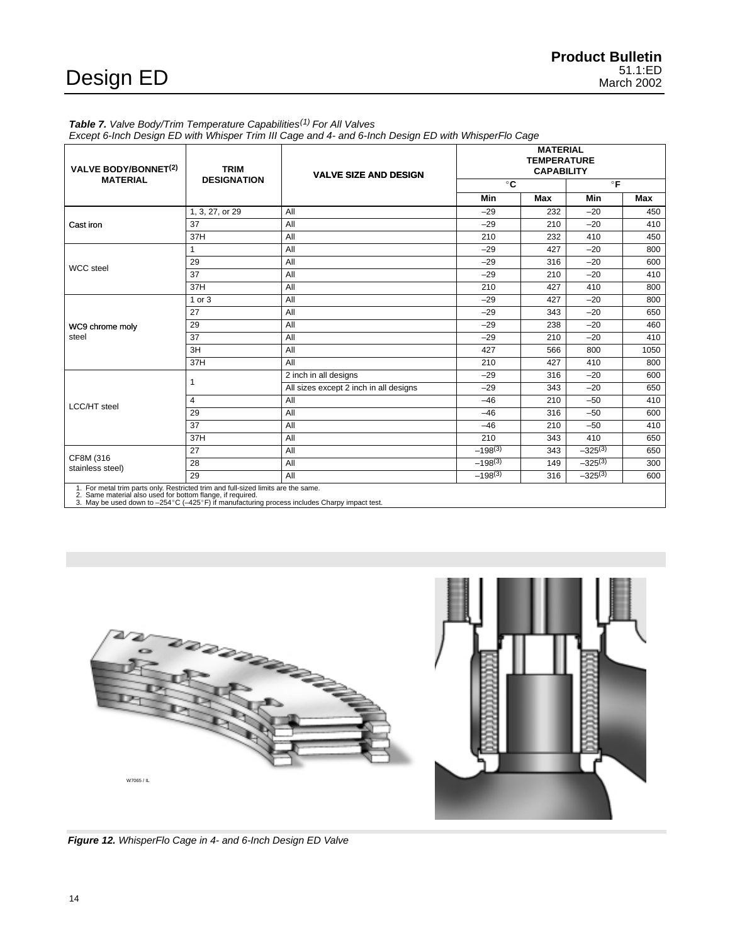### <span id="page-13-0"></span>Table 7. Valve Body/Trim Temperature Capabilities<sup>(1)</sup> For All Valves

Except 6-Inch Design ED with Whisper Trim III Cage and 4- and 6-Inch Design ED with WhisperFlo Cage

| <b>VALVE BODY/BONNET(2)</b>                                                                                                                                                                                                                     | <b>TRIM</b>        | <b>VALVE SIZE AND DESIGN</b>           |              | <b>MATERIAL</b><br><b>TEMPERATURE</b><br><b>CAPABILITY</b> |              |      |  |  |
|-------------------------------------------------------------------------------------------------------------------------------------------------------------------------------------------------------------------------------------------------|--------------------|----------------------------------------|--------------|------------------------------------------------------------|--------------|------|--|--|
| <b>MATERIAL</b>                                                                                                                                                                                                                                 | <b>DESIGNATION</b> |                                        | $^{\circ}$ C |                                                            | $^{\circ}$ F |      |  |  |
|                                                                                                                                                                                                                                                 |                    |                                        | Min          | Max                                                        | Min          | Max  |  |  |
|                                                                                                                                                                                                                                                 | 1, 3, 27, or 29    | All                                    | $-29$        | 232                                                        | $-20$        | 450  |  |  |
| Cast iron                                                                                                                                                                                                                                       | 37                 | All                                    | $-29$        | 210                                                        | $-20$        | 410  |  |  |
|                                                                                                                                                                                                                                                 | 37H                | All                                    | 210          | 232                                                        | 410          | 450  |  |  |
|                                                                                                                                                                                                                                                 | $\mathbf{1}$       | All                                    | $-29$        | 427                                                        | $-20$        | 800  |  |  |
| <b>WCC</b> steel                                                                                                                                                                                                                                | 29                 | All                                    | $-29$        | 316                                                        | $-20$        | 600  |  |  |
|                                                                                                                                                                                                                                                 | 37                 | All                                    | $-29$        | 210                                                        | $-20$        | 410  |  |  |
|                                                                                                                                                                                                                                                 | 37H                | All                                    | 210          | 427                                                        | 410          | 800  |  |  |
|                                                                                                                                                                                                                                                 | 1 or 3             | All                                    | $-29$        | 427                                                        | $-20$        | 800  |  |  |
|                                                                                                                                                                                                                                                 | 27                 | All                                    | $-29$        | 343                                                        | $-20$        | 650  |  |  |
| WC9 chrome moly                                                                                                                                                                                                                                 | 29                 | All                                    | $-29$        | 238                                                        | $-20$        | 460  |  |  |
| steel                                                                                                                                                                                                                                           | 37                 | All                                    | $-29$        | 210                                                        | $-20$        | 410  |  |  |
|                                                                                                                                                                                                                                                 | 3H                 | All                                    | 427          | 566                                                        | 800          | 1050 |  |  |
|                                                                                                                                                                                                                                                 | 37H                | All                                    | 210          | 427                                                        | 410          | 800  |  |  |
|                                                                                                                                                                                                                                                 |                    | 2 inch in all designs                  | $-29$        | 316                                                        | $-20$        | 600  |  |  |
|                                                                                                                                                                                                                                                 |                    | All sizes except 2 inch in all designs | $-29$        | 343                                                        | $-20$        | 650  |  |  |
| LCC/HT steel                                                                                                                                                                                                                                    | $\overline{4}$     | All                                    | $-46$        | 210                                                        | $-50$        | 410  |  |  |
|                                                                                                                                                                                                                                                 | 29                 | All                                    | $-46$        | 316                                                        | $-50$        | 600  |  |  |
|                                                                                                                                                                                                                                                 | 37                 | All                                    | $-46$        | 210                                                        | $-50$        | 410  |  |  |
|                                                                                                                                                                                                                                                 | 37H                | All                                    | 210          | 343                                                        | 410          | 650  |  |  |
|                                                                                                                                                                                                                                                 | 27                 | All                                    | $-198^{(3)}$ | 343                                                        | $-325^{(3)}$ | 650  |  |  |
| CF8M (316<br>stainless steel)                                                                                                                                                                                                                   | 28                 | All                                    | $-198^{(3)}$ | 149                                                        | $-325^{(3)}$ | 300  |  |  |
|                                                                                                                                                                                                                                                 | 29                 | All                                    | $-198^{(3)}$ | 316                                                        | $-325^{(3)}$ | 600  |  |  |
| 1. For metal trim parts only. Restricted trim and full-sized limits are the same.<br>2. Same material also used for bottom flange, if required.<br>3. May be used down to -254°C (-425°F) if manufacturing process includes Charpy impact test. |                    |                                        |              |                                                            |              |      |  |  |

DESERTE W7065 / IL

**Figure 12.** WhisperFlo Cage in 4- and 6-Inch Design ED Valve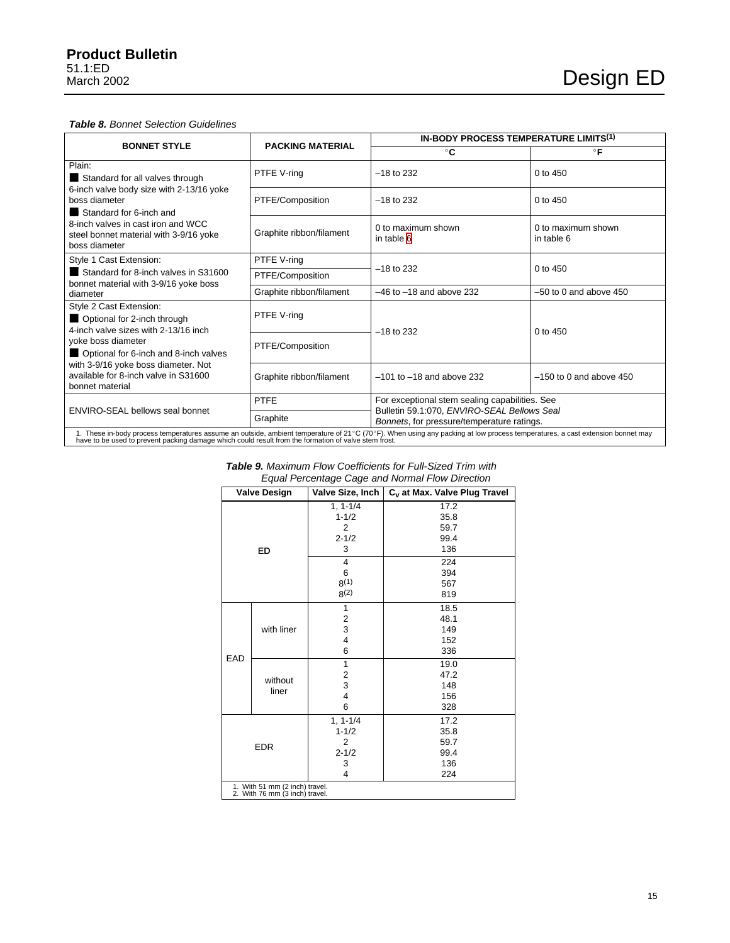### <span id="page-14-0"></span>**Table 8.** Bonnet Selection Guidelines

|                                                                                                                                                                                                                                                                                      |                          | <b>IN-BODY PROCESS TEMPERATURE LIMITS(1)</b>                                              |                                  |  |  |  |
|--------------------------------------------------------------------------------------------------------------------------------------------------------------------------------------------------------------------------------------------------------------------------------------|--------------------------|-------------------------------------------------------------------------------------------|----------------------------------|--|--|--|
| <b>BONNET STYLE</b>                                                                                                                                                                                                                                                                  | <b>PACKING MATERIAL</b>  | $^{\circ}$ C                                                                              | $\circ$ F                        |  |  |  |
| Plain:<br>Standard for all valves through                                                                                                                                                                                                                                            | PTFE V-ring              | $-18$ to 232                                                                              | $0$ to $450$                     |  |  |  |
| 6-inch valve body size with 2-13/16 yoke<br>boss diameter<br>Standard for 6-inch and                                                                                                                                                                                                 | PTFE/Composition         | $-18$ to 232                                                                              | $0$ to $450$                     |  |  |  |
| 8-inch valves in cast iron and WCC<br>steel bonnet material with 3-9/16 yoke<br>boss diameter                                                                                                                                                                                        | Graphite ribbon/filament | 0 to maximum shown<br>in table 6                                                          | 0 to maximum shown<br>in table 6 |  |  |  |
| Style 1 Cast Extension:                                                                                                                                                                                                                                                              | PTFE V-ring              |                                                                                           |                                  |  |  |  |
| Standard for 8-inch valves in S31600<br>bonnet material with 3-9/16 yoke boss                                                                                                                                                                                                        | PTFE/Composition         | $-18$ to 232                                                                              | $0$ to $450$                     |  |  |  |
| diameter                                                                                                                                                                                                                                                                             | Graphite ribbon/filament | $-46$ to $-18$ and above 232                                                              | $-50$ to 0 and above $450$       |  |  |  |
| Style 2 Cast Extension:<br>Optional for 2-inch through<br>4-inch valve sizes with 2-13/16 inch                                                                                                                                                                                       | PTFE V-ring              | $-18$ to 232                                                                              | $0$ to $450$                     |  |  |  |
| yoke boss diameter<br>Optional for 6-inch and 8-inch valves                                                                                                                                                                                                                          | PTFE/Composition         |                                                                                           |                                  |  |  |  |
| with 3-9/16 yoke boss diameter. Not<br>available for 8-inch valve in S31600<br>bonnet material                                                                                                                                                                                       | Graphite ribbon/filament | $-101$ to $-18$ and above 232                                                             | $-150$ to 0 and above 450        |  |  |  |
|                                                                                                                                                                                                                                                                                      | <b>PTFE</b>              | For exceptional stem sealing capabilities. See                                            |                                  |  |  |  |
| ENVIRO-SEAL bellows seal bonnet                                                                                                                                                                                                                                                      | Graphite                 | Bulletin 59.1:070, ENVIRO-SEAL Bellows Seal<br>Bonnets, for pressure/temperature ratings. |                                  |  |  |  |
| 1. These in-body process temperatures assume an outside, ambient temperature of 21°C (70°F). When using any packing at low process temperatures, a cast extension bonnet may<br>have to be used to prevent packing damage which could result from the formation of valve stem frost. |                          |                                                                                           |                                  |  |  |  |

| $\mathbf{v}$ | $\mathbf{u} \cdot \mathbf{v} = \mathbf{v} \cdot \mathbf{v} + \mathbf{v} \cdot \mathbf{v}$ |
|--------------|-------------------------------------------------------------------------------------------|
|              | Equal Percentage Cage and Normal Flow Direction                                           |
|              | <b>Table 9.</b> Maximum Flow Coefficients for Full-Sized Trim with                        |

|                                              | <b>Valve Design</b>            | Valve Size, Inch                                                                                               | C <sub>v</sub> at Max. Valve Plug Travel                        |
|----------------------------------------------|--------------------------------|----------------------------------------------------------------------------------------------------------------|-----------------------------------------------------------------|
| ED                                           |                                | $1, 1 - 1/4$<br>$1 - 1/2$<br>$\overline{2}$<br>$2 - 1/2$<br>3<br>$\overline{4}$<br>6<br>$8^{(1)}$<br>$8^{(2)}$ | 17.2<br>35.8<br>59.7<br>99.4<br>136<br>224<br>394<br>567<br>819 |
|                                              | with liner                     | 1<br>2<br>3<br>4<br>6                                                                                          | 18.5<br>48.1<br>149<br>152<br>336                               |
| EAD                                          | without<br>liner               | 1<br>$\overline{\mathbf{c}}$<br>3<br>$\overline{\mathbf{4}}$<br>6                                              | 19.0<br>47.2<br>148<br>156<br>328                               |
| <b>EDR</b><br>1. With 51 mm (2 inch) travel. |                                | $1, 1 - 1/4$<br>$1 - 1/2$<br>$\overline{2}$<br>$2 - 1/2$<br>3<br>$\overline{4}$                                | 17.2<br>35.8<br>59.7<br>99.4<br>136<br>224                      |
|                                              | 2. With 76 mm (3 inch) travel. |                                                                                                                |                                                                 |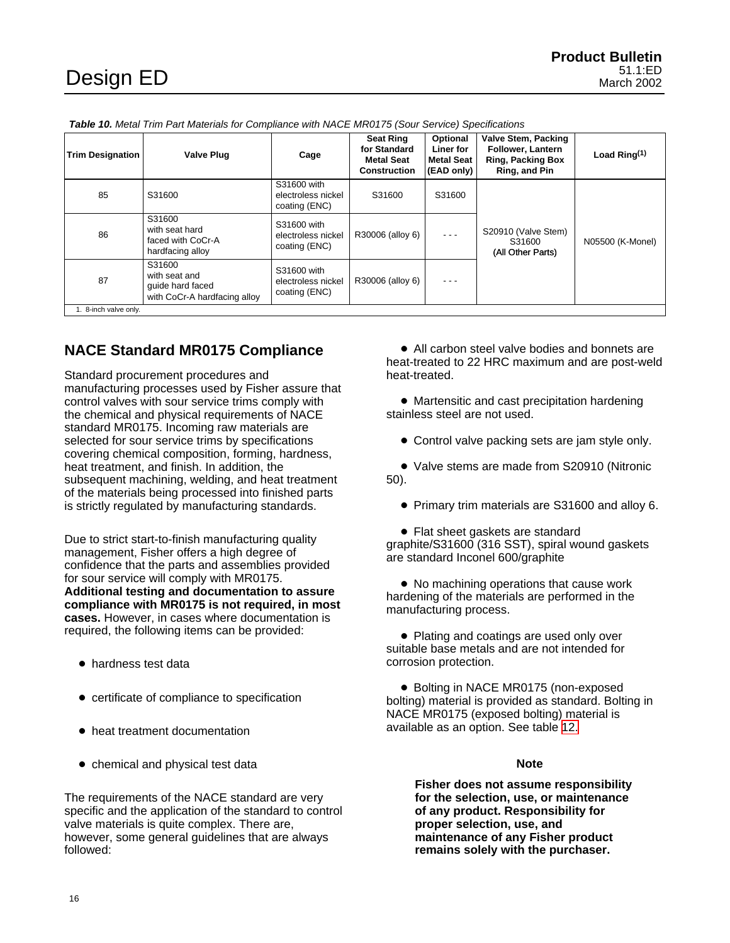<span id="page-15-0"></span>

|  | <b>Table 10.</b> Metal Trim Part Materials for Compliance with NACE MR0175 (Sour Service) Specifications |
|--|----------------------------------------------------------------------------------------------------------|
|  |                                                                                                          |

| <b>Trim Designation</b> | <b>Valve Plug</b>                                                           | Cage                                               | <b>Seat Ring</b><br>for Standard<br><b>Metal Seat</b><br><b>Construction</b> | Optional<br>Liner for<br><b>Metal Seat</b><br>(EAD only) | Valve Stem, Packing<br><b>Follower, Lantern</b><br><b>Ring, Packing Box</b><br>Ring, and Pin | Load Ring $(1)$  |  |
|-------------------------|-----------------------------------------------------------------------------|----------------------------------------------------|------------------------------------------------------------------------------|----------------------------------------------------------|----------------------------------------------------------------------------------------------|------------------|--|
| 85                      | S31600                                                                      | S31600 with<br>electroless nickel<br>coating (ENC) | S31600                                                                       | S31600                                                   |                                                                                              |                  |  |
| 86                      | S31600<br>with seat hard<br>faced with CoCr-A<br>hardfacing alloy           | S31600 with<br>electroless nickel<br>coating (ENC) | R30006 (alloy 6)                                                             | $- - -$                                                  | S20910 (Valve Stem)<br>S31600<br>(All Other Parts)                                           | N05500 (K-Monel) |  |
| 87                      | S31600<br>with seat and<br>guide hard faced<br>with CoCr-A hardfacing alloy | S31600 with<br>electroless nickel<br>coating (ENC) | R30006 (alloy 6)                                                             | $- - -$                                                  |                                                                                              |                  |  |
| 1. 8-inch valve only.   |                                                                             |                                                    |                                                                              |                                                          |                                                                                              |                  |  |

### **NACE Standard MR0175 Compliance**

Standard procurement procedures and manufacturing processes used by Fisher assure that control valves with sour service trims comply with the chemical and physical requirements of NACE standard MR0175. Incoming raw materials are selected for sour service trims by specifications covering chemical composition, forming, hardness, heat treatment, and finish. In addition, the subsequent machining, welding, and heat treatment of the materials being processed into finished parts is strictly regulated by manufacturing standards.

Due to strict start-to-finish manufacturing quality management, Fisher offers a high degree of confidence that the parts and assemblies provided for sour service will comply with MR0175. **Additional testing and documentation to assure compliance with MR0175 is not required, in most cases.** However, in cases where documentation is required, the following items can be provided:

- hardness test data
- $\bullet$  certificate of compliance to specification
- heat treatment documentation
- chemical and physical test data

The requirements of the NACE standard are very specific and the application of the standard to control valve materials is quite complex. There are, however, some general guidelines that are always followed:

- All carbon steel valve bodies and bonnets are heat-treated to 22 HRC maximum and are post-weld heat-treated.

 $\bullet$  Martensitic and cast precipitation hardening stainless steel are not used.

• Control valve packing sets are jam style only.

- Valve stems are made from S20910 (Nitronic 50).

- Primary trim materials are S31600 and alloy 6.

• Flat sheet gaskets are standard graphite/S31600 (316 SST), spiral wound gaskets are standard Inconel 600/graphite

- No machining operations that cause work hardening of the materials are performed in the manufacturing process.

• Plating and coatings are used only over suitable base metals and are not intended for corrosion protection.

· Bolting in NACE MR0175 (non-exposed bolting) material is provided as standard. Bolting in NACE MR0175 (exposed bolting) material is available as an option. See table [12.](#page-16-0)

### **Note**

**Fisher does not assume responsibility for the selection, use, or maintenance of any product. Responsibility for proper selection, use, and maintenance of any Fisher product remains solely with the purchaser.**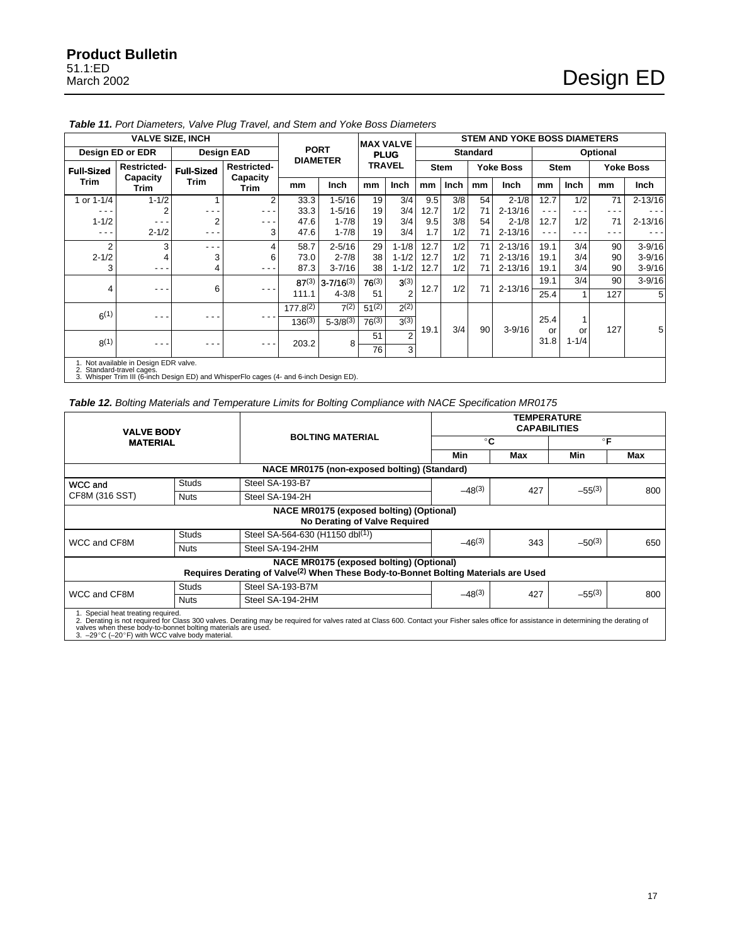|                           | <b>VALVE SIZE, INCH</b>               |                   |                  |                                | <b>MAX VALVE</b>                 |                         | <b>STEM AND YOKE BOSS DIAMETERS</b> |      |               |                 |             |            |                  |             |             |      |           |      |
|---------------------------|---------------------------------------|-------------------|------------------|--------------------------------|----------------------------------|-------------------------|-------------------------------------|------|---------------|-----------------|-------------|------------|------------------|-------------|-------------|------|-----------|------|
| Design ED or EDR          |                                       | <b>Design EAD</b> |                  | <b>PORT</b><br><b>DIAMETER</b> |                                  | <b>PLUG</b>             |                                     |      |               | <b>Standard</b> |             | Optional   |                  |             |             |      |           |      |
| <b>Full-Sized</b>         | <b>Restricted-</b>                    |                   |                  |                                | <b>Full-Sized</b><br><b>Trim</b> | <b>Restricted-</b>      |                                     |      | <b>TRAVEL</b> |                 | <b>Stem</b> |            | <b>Yoke Boss</b> |             | <b>Stem</b> |      | Yoke Boss |      |
| <b>Trim</b>               | Capacity<br><b>Trim</b>               |                   |                  |                                |                                  | Capacity<br><b>Trim</b> | mm                                  | Inch | mm            | Inch            | mm          | Inch       | mm               | <b>Inch</b> | mm          | Inch | mm        | Inch |
| 1 or 1-1/4                | $1 - 1/2$                             |                   | 2                | 33.3                           | $1 - 5/16$                       | 19                      | 3/4                                 | 9.5  | 3/8           | 54              | $2 - 1/8$   | 12.7       | 1/2              | 71          | $2 - 13/16$ |      |           |      |
| - - -                     | 2                                     |                   | $ -$             | 33.3                           | $1 - 5/16$                       | 19                      | 3/4                                 | 12.7 | 1/2           | 71              | $2 - 13/16$ | - - -      | - - -            |             |             |      |           |      |
| $1 - 1/2$                 | ---                                   | 2                 | - - -            | 47.6                           | $1 - 7/8$                        | 19                      | 3/4                                 | 9.5  | 3/8           | 54              | $2 - 1/8$   | 12.7       | 1/2              | 71          | $2 - 13/16$ |      |           |      |
| - - -                     | $2 - 1/2$                             | . .               | 3                | 47.6                           | $1 - 7/8$                        | 19                      | 3/4                                 | 1.7  | 1/2           | 71              | $2 - 13/16$ | - - -      | - - -            | - - -       |             |      |           |      |
| 2                         | 3                                     | - - -             |                  | 58.7                           | $2 - 5/16$                       | 29                      | $1 - 1/8$                           | 12.7 | 1/2           | 71              | $2 - 13/16$ | 19.1       | 3/4              | 90          | $3 - 9/16$  |      |           |      |
| $2 - 1/2$                 | 4                                     | 3                 | 6                | 73.0                           | $2 - 7/8$                        | 38                      | $1 - 1/2$                           | 12.7 | 1/2           | 71              | $2 - 13/16$ | 19.1       | 3/4              | 90          | $3 - 9/16$  |      |           |      |
| 3                         | ---                                   | 4                 | $- - -$          | 87.3                           | $3 - 7/16$                       | 38                      | $1 - 1/2$                           | 12.7 | 1/2           | 71              | $2 - 13/16$ | 19.1       | 3/4              | 90          | $3 - 9/16$  |      |           |      |
|                           |                                       |                   |                  |                                | $87^{(3)}$ 3-7/16 <sup>(3)</sup> | $76^{(3)}$              | $3^{(3)}$                           | 12.7 | 1/2           | 71              | $2 - 13/16$ | 19.1       | 3/4              | 90          | $3 - 9/16$  |      |           |      |
| 4                         | - - -                                 | 6                 | - - -            | 111.1                          | $4 - 3/8$                        | 51                      | $\overline{2}$                      |      |               |                 |             | 25.4       |                  | 127         | 5           |      |           |      |
| $6^{(1)}$                 |                                       |                   |                  | $177.8^{(2)}$                  | 7(2)                             | $51^{(2)}$              | $2^{(2)}$                           |      |               |                 |             |            |                  |             |             |      |           |      |
|                           | - - -                                 | - - -             |                  | $136^{(3)}$                    | $5 - 3/8^{(3)}$                  | $76^{(3)}$              | 3(3)                                |      |               |                 |             | 25.4       | 1                |             |             |      |           |      |
| 8(1)                      |                                       |                   | - - -<br>$- - -$ |                                |                                  | 51                      | $\overline{2}$                      | 19.1 | 3/4           | 90              | $3 - 9/16$  | or<br>31.8 | or<br>$1 - 1/4$  | 127         | 5           |      |           |      |
|                           | - - -                                 |                   |                  | 203.2                          | 8                                | 76                      | 3 <sub>l</sub>                      |      |               |                 |             |            |                  |             |             |      |           |      |
| 2. Standard-travel cages. | 1. Not available in Design EDR valve. |                   |                  |                                |                                  |                         |                                     |      |               |                 |             |            |                  |             |             |      |           |      |

<span id="page-16-0"></span>**Table 11.** Port Diameters, Valve Plug Travel, and Stem and Yoke Boss Diameters

2. Standard-travel cages. 3. Whisper Trim III (6-inch Design ED) and WhisperFlo cages (4- and 6-inch Design ED).

### **Table 12.** Bolting Materials and Temperature Limits for Bolting Compliance with NACE Specification MR0175

| <b>VALVE BODY</b>                                                                                  |              |                                                                                                                                                                                          |              | <b>TEMPERATURE</b><br><b>CAPABILITIES</b> |              |     |  |  |  |
|----------------------------------------------------------------------------------------------------|--------------|------------------------------------------------------------------------------------------------------------------------------------------------------------------------------------------|--------------|-------------------------------------------|--------------|-----|--|--|--|
| <b>MATERIAL</b>                                                                                    |              | <b>BOLTING MATERIAL</b>                                                                                                                                                                  | $^{\circ}$ C |                                           | $^{\circ}$ F |     |  |  |  |
|                                                                                                    |              |                                                                                                                                                                                          | Min          | Max                                       | Min          | Max |  |  |  |
|                                                                                                    |              | NACE MR0175 (non-exposed bolting) (Standard)                                                                                                                                             |              |                                           |              |     |  |  |  |
| WCC and                                                                                            | <b>Studs</b> | Steel SA-193-B7                                                                                                                                                                          | $-48^{(3)}$  |                                           |              |     |  |  |  |
| CF8M (316 SST)                                                                                     | <b>Nuts</b>  | Steel SA-194-2H                                                                                                                                                                          |              | 427                                       | $-55^{(3)}$  | 800 |  |  |  |
|                                                                                                    |              | NACE MR0175 (exposed bolting) (Optional)<br>No Derating of Valve Required                                                                                                                |              |                                           |              |     |  |  |  |
|                                                                                                    | <b>Studs</b> | Steel SA-564-630 (H1150 dbl(1))                                                                                                                                                          | $-46^{(3)}$  |                                           |              | 650 |  |  |  |
| WCC and CF8M                                                                                       | <b>Nuts</b>  | Steel SA-194-2HM                                                                                                                                                                         |              | 343                                       | $-50^{(3)}$  |     |  |  |  |
|                                                                                                    |              | NACE MR0175 (exposed bolting) (Optional)<br>Requires Derating of Valve <sup>(2)</sup> When These Body-to-Bonnet Bolting Materials are Used                                               |              |                                           |              |     |  |  |  |
| WCC and CF8M                                                                                       | <b>Studs</b> | Steel SA-193-B7M                                                                                                                                                                         | $-48(3)$     | 427                                       | $-55^{(3)}$  |     |  |  |  |
|                                                                                                    | <b>Nuts</b>  | Steel SA-194-2HM                                                                                                                                                                         |              |                                           |              | 800 |  |  |  |
| 1. Special heat treating required.<br>valves when these body-to-bonnet bolting materials are used. |              | 2. Derating is not required for Class 300 valves. Derating may be required for valves rated at Class 600. Contact your Fisher sales office for assistance in determining the derating of |              |                                           |              |     |  |  |  |

3. -29°C (-20°F) with WCC valve body material.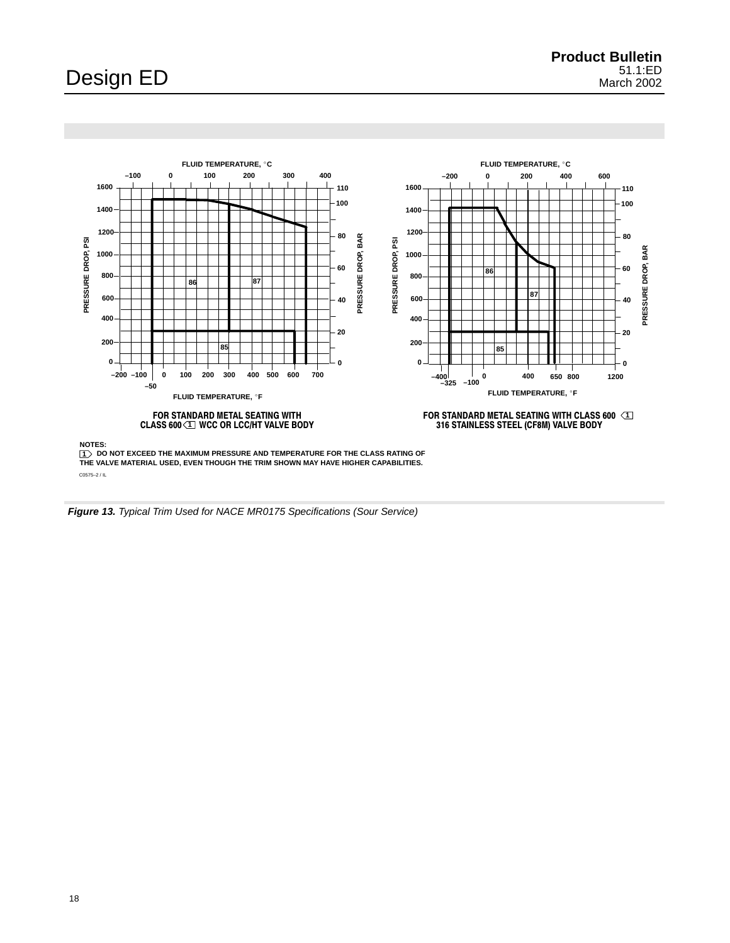<span id="page-17-0"></span>

C0575–2 / IL

**Figure 13.** Typical Trim Used for NACE MR0175 Specifications (Sour Service)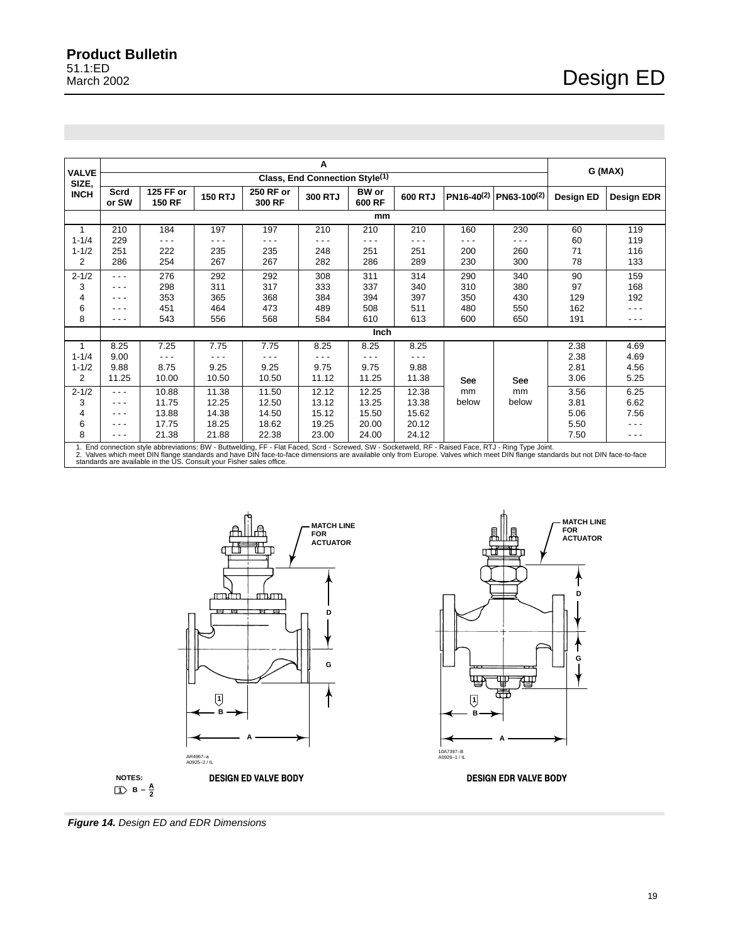<span id="page-18-0"></span>

| <b>VALVE</b>   |               |                                                                      |                |                     | Α                                          |                        |         |                        |                                                                                                                                                                                                                                                                                                                                       |           | G (MAX)    |  |  |
|----------------|---------------|----------------------------------------------------------------------|----------------|---------------------|--------------------------------------------|------------------------|---------|------------------------|---------------------------------------------------------------------------------------------------------------------------------------------------------------------------------------------------------------------------------------------------------------------------------------------------------------------------------------|-----------|------------|--|--|
| SIZE,          |               |                                                                      |                |                     | Class, End Connection Style <sup>(1)</sup> |                        |         |                        |                                                                                                                                                                                                                                                                                                                                       |           |            |  |  |
| <b>INCH</b>    | Scrd<br>or SW | 125 FF or<br><b>150 RF</b>                                           | <b>150 RTJ</b> | 250 RF or<br>300 RF | 300 RTJ                                    | <b>BW</b> or<br>600 RF | 600 RTJ | PN16-40 <sup>(2)</sup> | $PN63-100(2)$                                                                                                                                                                                                                                                                                                                         | Design ED | Design EDR |  |  |
|                | mm            |                                                                      |                |                     |                                            |                        |         |                        |                                                                                                                                                                                                                                                                                                                                       |           |            |  |  |
| 1              | 210           | 184                                                                  | 197            | 197                 | 210                                        | 210                    | 210     | 160                    | 230                                                                                                                                                                                                                                                                                                                                   | 60        | 119        |  |  |
| $1 - 1/4$      | 229           | - - -                                                                | - - -          | - - -               | - - -                                      | ---                    | .       | - - -                  | - - -                                                                                                                                                                                                                                                                                                                                 | 60        | 119        |  |  |
| $1 - 1/2$      | 251           | 222                                                                  | 235            | 235                 | 248                                        | 251                    | 251     | 200                    | 260                                                                                                                                                                                                                                                                                                                                   | 71        | 116        |  |  |
| $\overline{2}$ | 286           | 254                                                                  | 267            | 267                 | 282                                        | 286                    | 289     | 230                    | 300                                                                                                                                                                                                                                                                                                                                   | 78        | 133        |  |  |
| $2 - 1/2$      | - - -         | 276                                                                  | 292            | 292                 | 308                                        | 311                    | 314     | 290                    | 340                                                                                                                                                                                                                                                                                                                                   | 90        | 159        |  |  |
| 3              | $- - -$       | 298                                                                  | 311            | 317                 | 333                                        | 337                    | 340     | 310                    | 380                                                                                                                                                                                                                                                                                                                                   | 97        | 168        |  |  |
| 4              | - - -         | 353                                                                  | 365            | 368                 | 384                                        | 394                    | 397     | 350                    | 430                                                                                                                                                                                                                                                                                                                                   | 129       | 192        |  |  |
| 6              |               | 451                                                                  | 464            | 473                 | 489                                        | 508                    | 511     | 480                    | 550                                                                                                                                                                                                                                                                                                                                   | 162       | - - -      |  |  |
| 8              | - - -         | 543                                                                  | 556            | 568                 | 584                                        | 610                    | 613     | 600                    | 650                                                                                                                                                                                                                                                                                                                                   | 191       | - - -      |  |  |
|                |               |                                                                      |                |                     |                                            | Inch                   |         |                        |                                                                                                                                                                                                                                                                                                                                       |           |            |  |  |
| 1              | 8.25          | 7.25                                                                 | 7.75           | 7.75                | 8.25                                       | 8.25                   | 8.25    |                        |                                                                                                                                                                                                                                                                                                                                       | 2.38      | 4.69       |  |  |
| $1 - 1/4$      | 9.00          |                                                                      |                | .                   |                                            |                        |         |                        |                                                                                                                                                                                                                                                                                                                                       | 2.38      | 4.69       |  |  |
| $1 - 1/2$      | 9.88          | 8.75                                                                 | 9.25           | 9.25                | 9.75                                       | 9.75                   | 9.88    |                        |                                                                                                                                                                                                                                                                                                                                       | 2.81      | 4.56       |  |  |
| 2              | 11.25         | 10.00                                                                | 10.50          | 10.50               | 11.12                                      | 11.25                  | 11.38   | See                    | See                                                                                                                                                                                                                                                                                                                                   | 3.06      | 5.25       |  |  |
| $2 - 1/2$      | - - -         | 10.88                                                                | 11.38          | 11.50               | 12.12                                      | 12.25                  | 12.38   | mm                     | mm                                                                                                                                                                                                                                                                                                                                    | 3.56      | 6.25       |  |  |
| 3              | - - -         | 11.75                                                                | 12.25          | 12.50               | 13.12                                      | 13.25                  | 13.38   | below                  | below                                                                                                                                                                                                                                                                                                                                 | 3.81      | 6.62       |  |  |
| 4              | - - -         | 13.88                                                                | 14.38          | 14.50               | 15.12                                      | 15.50                  | 15.62   |                        |                                                                                                                                                                                                                                                                                                                                       | 5.06      | 7.56       |  |  |
| 6              | - - -         | 17.75                                                                | 18.25          | 18.62               | 19.25                                      | 20.00                  | 20.12   |                        |                                                                                                                                                                                                                                                                                                                                       | 5.50      | - - -      |  |  |
| 8              | - - -         | 21.38                                                                | 21.88          | 22.38               | 23.00                                      | 24.00                  | 24.12   |                        |                                                                                                                                                                                                                                                                                                                                       | 7.50      | - - -      |  |  |
|                |               | standards are available in the US. Consult your Fisher sales office. |                |                     |                                            |                        |         |                        | 1. End connection style abbreviations: BW - Buttwelding, FF - Flat Faced, Scrd - Screwed, SW - Socketweld, RF - Raised Face, RTJ - Ring Type Joint.<br>2. Valves which meet DIN flange standards and have DIN face-to-face dimensions are available only from Europe. Valves which meet DIN flange standards but not DIN face-to-face |           |            |  |  |





**Figure 14.** Design ED and EDR Dimensions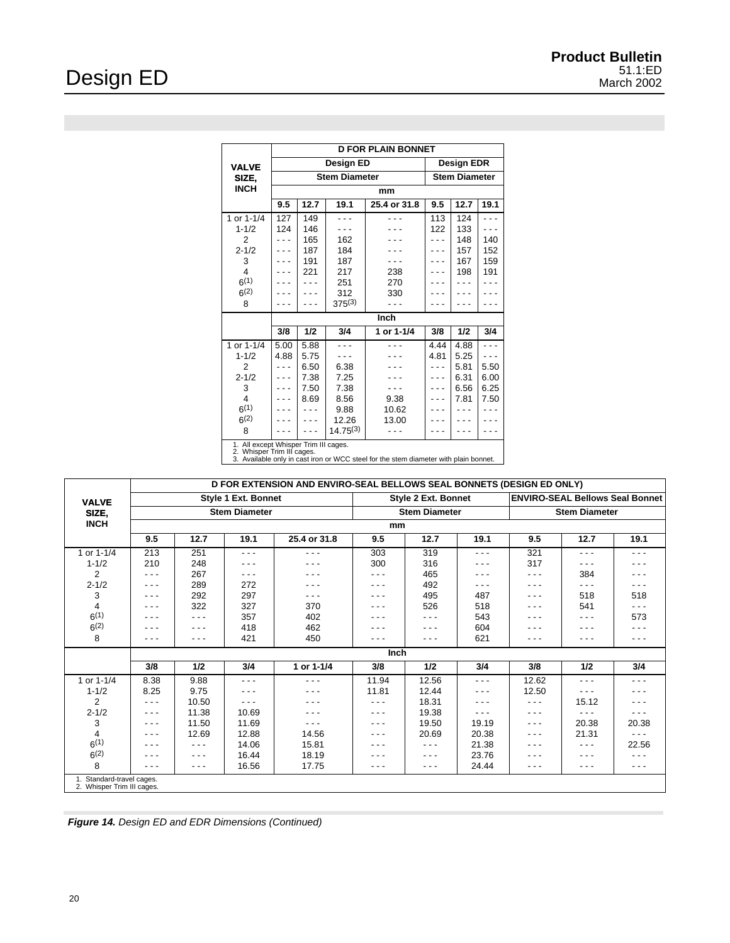J.

|                         | <b>D FOR PLAIN BONNET</b>                                                                                                                                   |                      |                        |                      |      |            |      |  |  |  |
|-------------------------|-------------------------------------------------------------------------------------------------------------------------------------------------------------|----------------------|------------------------|----------------------|------|------------|------|--|--|--|
| <b>VALVE</b>            |                                                                                                                                                             |                      | Design ED              |                      |      | Design EDR |      |  |  |  |
| SIZE,                   |                                                                                                                                                             | <b>Stem Diameter</b> |                        | <b>Stem Diameter</b> |      |            |      |  |  |  |
| <b>INCH</b>             | mm                                                                                                                                                          |                      |                        |                      |      |            |      |  |  |  |
|                         | 9.5                                                                                                                                                         | 12.7                 | 19.1                   | 25.4 or 31.8         | 9.5  | 12.7       | 19.1 |  |  |  |
| 1 or 1-1/4              | 127                                                                                                                                                         | 149                  | .                      |                      | 113  | 124        |      |  |  |  |
| $1 - 1/2$               | 124                                                                                                                                                         | 146                  |                        |                      | 122  | 133        |      |  |  |  |
| $\overline{2}$          |                                                                                                                                                             | 165                  | 162                    |                      |      | 148        | 140  |  |  |  |
| $2 - 1/2$               |                                                                                                                                                             | 187                  | 184                    |                      |      | 157        | 152  |  |  |  |
| 3                       |                                                                                                                                                             | 191                  | 187                    |                      |      | 167        | 159  |  |  |  |
| $\overline{\mathbf{4}}$ |                                                                                                                                                             | 221                  | 217                    | 238                  |      | 198        | 191  |  |  |  |
| 6(1)                    |                                                                                                                                                             |                      | 251                    | 270                  |      |            |      |  |  |  |
| $6^{(2)}$               |                                                                                                                                                             |                      | 312                    | 330                  |      |            |      |  |  |  |
| 8                       |                                                                                                                                                             |                      | $375^{(3)}$            |                      |      |            |      |  |  |  |
|                         |                                                                                                                                                             |                      |                        |                      |      |            |      |  |  |  |
|                         | 3/8                                                                                                                                                         | 1/2                  | 3/4                    | 1 or 1-1/4           | 3/8  | 1/2        | 3/4  |  |  |  |
| 1 or 1-1/4              | 5.00                                                                                                                                                        | 5.88                 | .                      |                      | 4.44 | 4.88       |      |  |  |  |
| $1 - 1/2$               | 4.88                                                                                                                                                        | 5.75                 |                        |                      | 4.81 | 5.25       |      |  |  |  |
| $\overline{2}$          |                                                                                                                                                             | 6.50                 | 6.38                   |                      |      | 5.81       | 5.50 |  |  |  |
| $2 - 1/2$               |                                                                                                                                                             | 7.38                 | 7.25                   |                      |      | 6.31       | 6.00 |  |  |  |
| 3                       |                                                                                                                                                             | 7.50                 | 7.38                   |                      |      | 6.56       | 6.25 |  |  |  |
| 4                       |                                                                                                                                                             | 8.69                 | 8.56                   | 9.38                 |      | 7.81       | 7.50 |  |  |  |
| 6(1)                    |                                                                                                                                                             |                      | 9.88                   | 10.62                |      |            |      |  |  |  |
| $6^{(2)}$               |                                                                                                                                                             |                      | 12.26<br>$14.75^{(3)}$ | 13.00                |      |            |      |  |  |  |
| 8                       |                                                                                                                                                             |                      |                        |                      |      |            |      |  |  |  |
| 2.                      | 1. All except Whisper Trim III cages.<br>2. Whisper Trim III cages.<br>3. Available only in cast iron or WCC steel for the stem diameter with plain bonnet. |                      |                        |                      |      |            |      |  |  |  |

|                                                         | D FOR EXTENSION AND ENVIRO-SEAL BELLOWS SEAL BONNETS (DESIGN ED ONLY) |       |                            |              |         |                            |       |                                        |       |         |  |  |  |
|---------------------------------------------------------|-----------------------------------------------------------------------|-------|----------------------------|--------------|---------|----------------------------|-------|----------------------------------------|-------|---------|--|--|--|
| <b>VALVE</b>                                            |                                                                       |       | <b>Style 1 Ext. Bonnet</b> |              |         | <b>Style 2 Ext. Bonnet</b> |       | <b>ENVIRO-SEAL Bellows Seal Bonnet</b> |       |         |  |  |  |
| SIZE,                                                   |                                                                       |       | <b>Stem Diameter</b>       |              |         | <b>Stem Diameter</b>       |       | <b>Stem Diameter</b>                   |       |         |  |  |  |
| <b>INCH</b>                                             | mm                                                                    |       |                            |              |         |                            |       |                                        |       |         |  |  |  |
|                                                         | 9.5                                                                   | 12.7  | 19.1                       | 25.4 or 31.8 | 9.5     | 12.7                       | 19.1  | 9.5                                    | 12.7  | 19.1    |  |  |  |
| 1 or 1-1/4                                              | 213                                                                   | 251   | - - -                      | - - -        | 303     | 319                        | - - - | 321                                    | - - - | - - -   |  |  |  |
| $1 - 1/2$                                               | 210                                                                   | 248   | - - -                      | - - -        | 300     | 316                        | - - - | 317                                    | - - - | - - -   |  |  |  |
| $\overline{2}$                                          | - - -                                                                 | 267   | - - -                      | - - -        | - - -   | 465                        | - - - | - - -                                  | 384   | - - -   |  |  |  |
| $2 - 1/2$                                               | $- - -$                                                               | 289   | 272                        | - - -        | $- - -$ | 492                        | - - - | - - -                                  | - - - | - - -   |  |  |  |
| 3                                                       | $- - -$                                                               | 292   | 297                        | - - -        | $- - -$ | 495                        | 487   | - - -                                  | 518   | 518     |  |  |  |
| 4                                                       | - - -                                                                 | 322   | 327                        | 370          | - - -   | 526                        | 518   | - - -                                  | 541   | - - -   |  |  |  |
| 6(1)                                                    | .                                                                     | - - - | 357                        | 402          | - - -   | $- - -$                    | 543   | - - -                                  | - - - | 573     |  |  |  |
| $6^{(2)}$                                               | .                                                                     | - - - | 418                        | 462          | .       | - - -                      | 604   | - - -                                  | - - - | $- - -$ |  |  |  |
| 8                                                       | .                                                                     | - - - | 421                        | 450          | $- - -$ | - - -                      | 621   | - - -                                  | - - - | - - -   |  |  |  |
|                                                         |                                                                       |       |                            |              | Inch    |                            |       |                                        |       |         |  |  |  |
|                                                         | 3/8                                                                   | 1/2   | 3/4                        | 1 or 1-1/4   | 3/8     | 1/2                        | 3/4   | 3/8                                    | 1/2   | 3/4     |  |  |  |
| 1 or 1-1/4                                              | 8.38                                                                  | 9.88  | .                          | - - -        | 11.94   | 12.56                      | - - - | 12.62                                  | - - - | .       |  |  |  |
| $1 - 1/2$                                               | 8.25                                                                  | 9.75  | - - -                      | - - -        | 11.81   | 12.44                      | - - - | 12.50                                  | - - - | - - -   |  |  |  |
| 2                                                       | - - -                                                                 | 10.50 | - - -                      | - - -        | $- - -$ | 18.31                      | - - - | - - -                                  | 15.12 | - - -   |  |  |  |
| $2 - 1/2$                                               | - - -                                                                 | 11.38 | 10.69                      | - - -        | $- - -$ | 19.38                      | - - - | - - -                                  | - - - | - - -   |  |  |  |
| 3                                                       | - - -                                                                 | 11.50 | 11.69                      | - - -        | $- - -$ | 19.50                      | 19.19 | - - -                                  | 20.38 | 20.38   |  |  |  |
| 4                                                       | - - -                                                                 | 12.69 | 12.88                      | 14.56        | - - -   | 20.69                      | 20.38 | - - -                                  | 21.31 | - - -   |  |  |  |
| 6(1)                                                    | .                                                                     | - - - | 14.06                      | 15.81        | - - -   | $- - -$                    | 21.38 | - - -                                  | - - - | 22.56   |  |  |  |
| $6^{(2)}$                                               | - - -                                                                 | - - - | 16.44                      | 18.19        | - - -   | - - -                      | 23.76 | .                                      | - - - | .       |  |  |  |
| 8                                                       | ---                                                                   | - - - | 16.56                      | 17.75        | $- - -$ | $- - -$                    | 24.44 | - - -                                  | - - - | - - -   |  |  |  |
| 1. Standard-travel cages.<br>2. Whisper Trim III cages. |                                                                       |       |                            |              |         |                            |       |                                        |       |         |  |  |  |

**Figure 14.** Design ED and EDR Dimensions (Continued)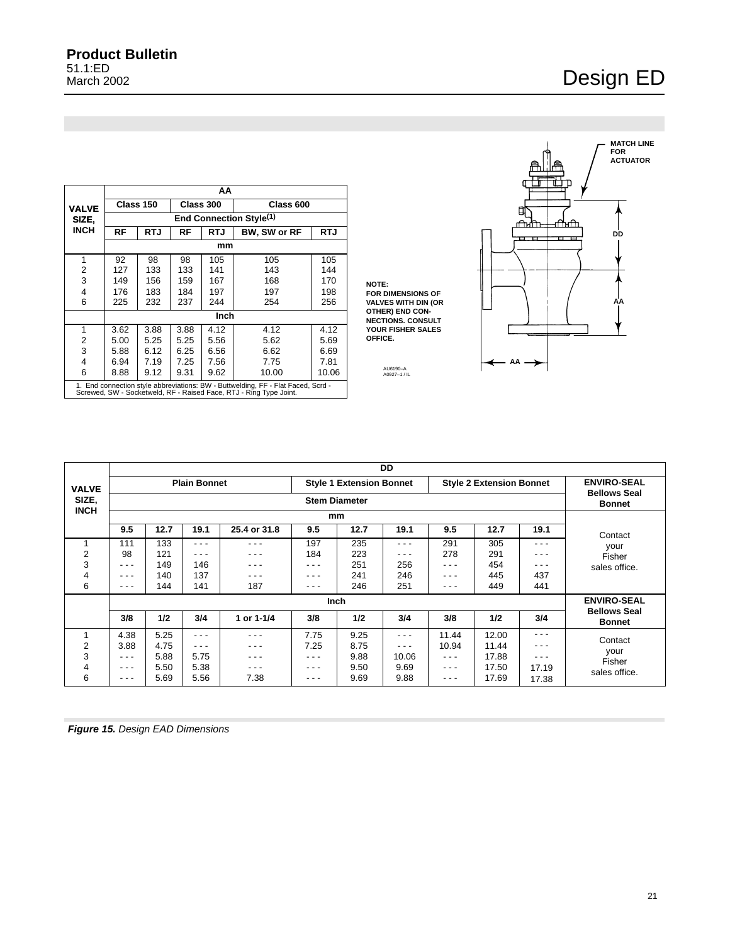### <span id="page-20-0"></span>**Product Bulletin** 51.1:ED March 2002

## Design ED

**MATCH LINE FOR ACTUATOR**

**DD**

ॉो⊺ा

 $\overline{B}$   $\overline{B}$ 

**AA**

|                |                                     |            |              | AA    |                                                                                                                                                        |            |  |  |  |  |
|----------------|-------------------------------------|------------|--------------|-------|--------------------------------------------------------------------------------------------------------------------------------------------------------|------------|--|--|--|--|
| <b>VALVE</b>   |                                     | Class 150  | Class 300    |       | Class 600                                                                                                                                              |            |  |  |  |  |
| SIZE.          | End Connection Style <sup>(1)</sup> |            |              |       |                                                                                                                                                        |            |  |  |  |  |
| <b>INCH</b>    | RF                                  | <b>RTJ</b> | RF           | RTJ   | BW, SW or RF                                                                                                                                           | <b>RTJ</b> |  |  |  |  |
|                | mm                                  |            |              |       |                                                                                                                                                        |            |  |  |  |  |
| 1              | 92                                  | 98         | 98           | 105   | 105                                                                                                                                                    | 105        |  |  |  |  |
| $\overline{2}$ | 127                                 | 133        | 133          | 141   | 143                                                                                                                                                    | 144        |  |  |  |  |
| 3              | 149                                 | 156        | 159          | 167   | 168                                                                                                                                                    | 170        |  |  |  |  |
| 4              | 176                                 | 183        | 184          | 197   | 197                                                                                                                                                    | 198        |  |  |  |  |
| 6              | 225                                 | 232        | 237          | 244   | 254                                                                                                                                                    | 256        |  |  |  |  |
|                |                                     |            |              | Inch  |                                                                                                                                                        |            |  |  |  |  |
| 1              | 3.62                                | 3.88       | 3.88         | 4.12  | 4.12                                                                                                                                                   | 4.12       |  |  |  |  |
| 2              | 5.00                                | 5.25       | 5.25         | 5.56  | 5.62                                                                                                                                                   | 5.69       |  |  |  |  |
| 3              | 5.88                                | 6.12       | 6.25         | 6.56  | 6.62                                                                                                                                                   | 6.69       |  |  |  |  |
| 4              | 6.94                                | 7.19       | 7.25<br>7.56 |       | 7.75                                                                                                                                                   | 7.81       |  |  |  |  |
| 6              | 8.88                                | 9.12       | 9.31         | 10.00 | 10.06                                                                                                                                                  |            |  |  |  |  |
|                |                                     |            |              |       | 1. End connection style abbreviations: BW - Buttwelding, FF - Flat Faced, Scrd -<br>Screwed, SW - Socketweld, RF - Raised Face, RTJ - Ring Type Joint. |            |  |  |  |  |

**NOTE: FOR DIMENSIONS OF VALVES WITH DIN (OR OTHER) END CON-NECTIONS. CONSULT YOUR FISHER SALES OFFICE.**

AU6190–A A0927–1 / IL

 $-$  AA  $\rightarrow$ 

∩ੀਮ e e

|              |                                                                                           |                                      |       |              |       |      | DD    |       |       |                    |                                      |
|--------------|-------------------------------------------------------------------------------------------|--------------------------------------|-------|--------------|-------|------|-------|-------|-------|--------------------|--------------------------------------|
| <b>VALVE</b> | <b>Style 2 Extension Bonnet</b><br><b>Plain Bonnet</b><br><b>Style 1 Extension Bonnet</b> |                                      |       |              |       |      |       |       |       | <b>ENVIRO-SEAL</b> |                                      |
| SIZE,        |                                                                                           | <b>Bellows Seal</b><br><b>Bonnet</b> |       |              |       |      |       |       |       |                    |                                      |
| <b>INCH</b>  |                                                                                           |                                      |       |              |       |      |       |       |       |                    |                                      |
|              | 9.5                                                                                       | 12.7                                 | 19.1  | 25.4 or 31.8 | 9.5   | 12.7 | 19.1  | 9.5   | 12.7  | 19.1               | Contact                              |
|              | 111                                                                                       | 133                                  | - - - | - - -        | 197   | 235  | - - - | 291   | 305   | - - -              | your                                 |
| 2            | 98                                                                                        | 121                                  | - - - | - - -        | 184   | 223  | .     | 278   | 291   | - - -              | Fisher                               |
| 3            | - - -                                                                                     | 149                                  | 146   | - - -        | - - - | 251  | 256   | .     | 454   | - - -              | sales office.                        |
| 4            | ---                                                                                       | 140                                  | 137   | - - -        | ---   | 241  | 246   | - - - | 445   | 437                |                                      |
| 6            | ---                                                                                       | 144                                  | 141   | 187          | - - - | 246  | 251   | - - - | 449   | 441                |                                      |
|              |                                                                                           |                                      |       |              | Inch  |      |       |       |       |                    | <b>ENVIRO-SEAL</b>                   |
|              | 3/8                                                                                       | 1/2                                  | 3/4   | 1 or 1-1/4   | 3/8   | 1/2  | 3/4   | 3/8   | 1/2   | 3/4                | <b>Bellows Seal</b><br><b>Bonnet</b> |
|              | 4.38                                                                                      | 5.25                                 | - - - | - - -        | 7.75  | 9.25 | - - - | 11.44 | 12.00 | - - -              | Contact                              |
| 2            | 3.88                                                                                      | 4.75                                 | ---   | - - -        | 7.25  | 8.75 | - - - | 10.94 | 11.44 | - - -              |                                      |
| 3            | - - -                                                                                     | 5.88                                 | 5.75  | - - -        | - - - | 9.88 | 10.06 | - - - | 17.88 | - - -              | your<br>Fisher                       |
| 4            | ---                                                                                       | 5.50                                 | 5.38  | - - -        | ---   | 9.50 | 9.69  | ---   | 17.50 | 17.19              | sales office.                        |
| 6            | ---                                                                                       | 5.69                                 | 5.56  | 7.38         | ---   | 9.69 | 9.88  | ---   | 17.69 | 17.38              |                                      |

**Figure 15.** Design EAD Dimensions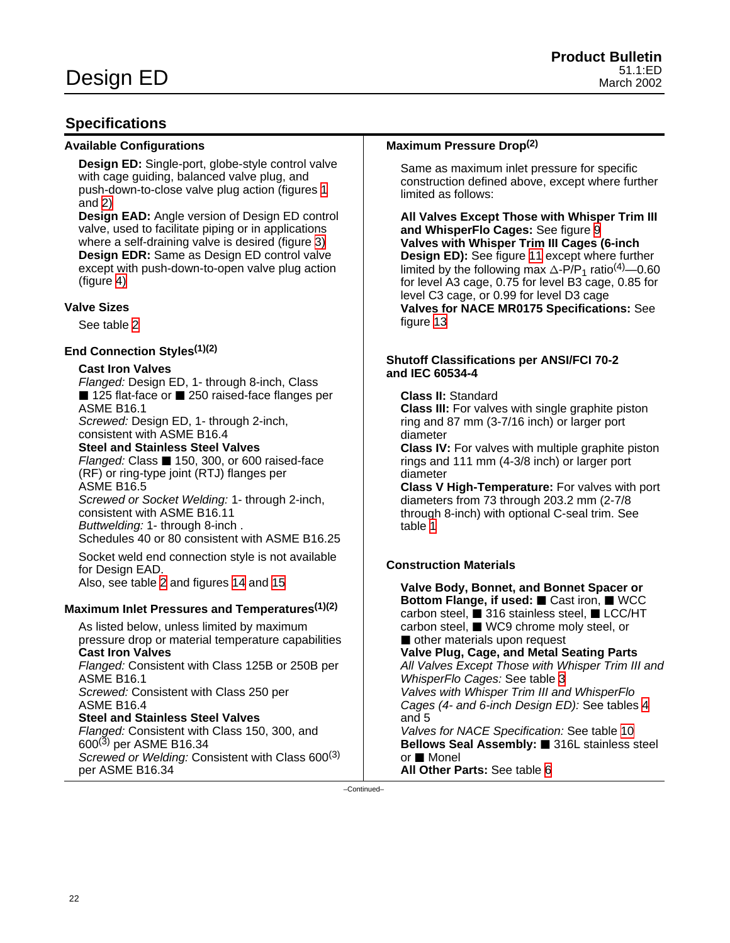### <span id="page-21-0"></span>**Specifications**

### **Available Configurations**

**Design ED:** Single-port, globe-style control valve with cage guiding, balanced valve plug, and push-down-to-close valve plug action (figures [1](#page-0-0) and [2\)](#page-2-0)

**Design EAD:** Angle version of Design ED control valve, used to facilitate piping or in applications where a self-draining valve is desired (figure [3\)](#page-2-0) **Design EDR:** Same as Design ED control valve except with push-down-to-open valve plug action (figure [4\)](#page-3-0)

### **Valve Sizes**

See table [2](#page-5-0)

### **End Connection Styles(1)(2)**

### **Cast Iron Valves**

Flanged: Design ED, 1- through 8-inch, Class ■ 125 flat-face or ■ 250 raised-face flanges per ASME B16.1

Screwed: Design ED, 1- through 2-inch, consistent with ASME B16.4

**Steel and Stainless Steel Valves**

Flanged: Class ■ 150, 300, or 600 raised-face (RF) or ring-type joint (RTJ) flanges per ASME B16.5

Screwed or Socket Welding: 1- through 2-inch, consistent with ASME B16.11 Buttwelding: 1- through 8-inch .

Schedules 40 or 80 consistent with ASME B16.25

Socket weld end connection style is not available for Design EAD. Also, see table [2](#page-5-0) and figures [14](#page-18-0) and [15](#page-20-0)

**Maximum Inlet Pressures and Temperatures(1)(2)**

As listed below, unless limited by maximum pressure drop or material temperature capabilities **Cast Iron Valves** Flanged: Consistent with Class 125B or 250B per

ASME B16.1 Screwed: Consistent with Class 250 per ASME B16.4

## **Steel and Stainless Steel Valves**

Flanged: Consistent with Class 150, 300, and 600(3) per ASME B16.34 Screwed or Welding: Consistent with Class 600<sup>(3)</sup> per ASME B16.34

### **Maximum Pressure Drop(2)**

Same as maximum inlet pressure for specific construction defined above, except where further limited as follows:

**All Valves Except Those with Whisper Trim III and WhisperFlo Cages:** See figure [9](#page-11-0) **Valves with Whisper Trim III Cages (6-inch Design ED):** See figure [11](#page-12-0) except where further limited by the following max  $\triangle P/P_1$  ratio<sup>(4)</sup>—0.60 for level A3 cage, 0.75 for level B3 cage, 0.85 for level C3 cage, or 0.99 for level D3 cage **Valves for NACE MR0175 Specifications:** See figure [13](#page-17-0)

### **Shutoff Classifications per ANSI/FCI 70-2 and IEC 60534-4**

**Class II:** Standard

**Class III:** For valves with single graphite piston ring and 87 mm (3-7/16 inch) or larger port diameter

**Class IV:** For valves with multiple graphite piston rings and 111 mm (4-3/8 inch) or larger port diameter

**Class V High-Temperature:** For valves with port diameters from 73 through 203.2 mm (2-7/8 through 8-inch) with optional C-seal trim. See table [1](#page-4-0)

### **Construction Materials**

or ■ Monel

**All Other Parts:** See table [6](#page-10-0)

**Valve Body, Bonnet, and Bonnet Spacer or Bottom Flange, if used:** ■ Cast iron, ■ WCC carbon steel,  $\blacksquare$  316 stainless steel,  $\blacksquare$  LCC/HT carbon steel, WC9 chrome moly steel, or other materials upon request **Valve Plug, Cage, and Metal Seating Parts** All Valves Except Those with Whisper Trim III and WhisperFlo Cages: See table [3](#page-6-0) Valves with Whisper Trim III and WhisperFlo Cages (4- and 6-inch Design ED): See tables [4](#page-6-0) and 5 Valves for NACE Specification: See table [10](#page-15-0) **Bellows Seal Assembly:** 316L stainless steel

–Continued–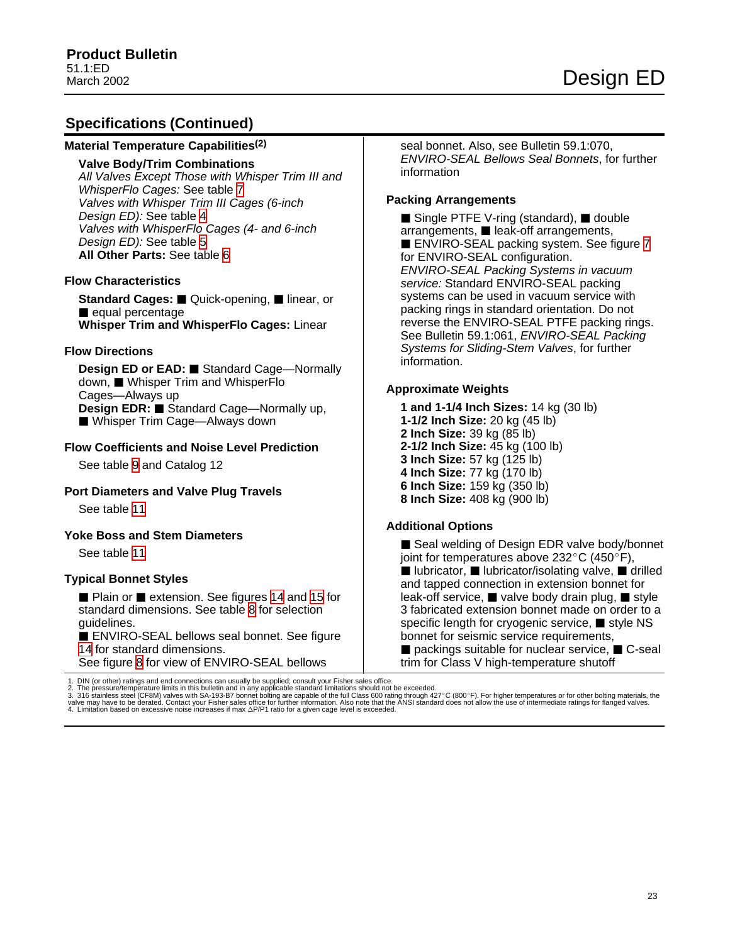### **Specifications (Continued)**

#### **Material Temperature Capabilities(2)**

#### **Valve Body/Trim Combinations**

All Valves Except Those with Whisper Trim III and WhisperFlo Cages: See table [7](#page-13-0) Valves with Whisper Trim III Cages (6-inch Design ED): See table [4](#page-6-0) Valves with WhisperFlo Cages (4- and 6-inch Design ED): See table [5](#page-7-0) **All Other Parts:** See table [6](#page-10-0)

### **Flow Characteristics**

**Standard Cages:** ■ Quick-opening, ■ linear, or equal percentage **Whisper Trim and WhisperFlo Cages:** Linear

#### **Flow Directions**

**Design ED or EAD: ■ Standard Cage—Normally** down, Whisper Trim and WhisperFlo Cages—Always up **Design EDR: ■ Standard Cage—Normally up.** ■ Whisper Trim Cage—Always down

### **Flow Coefficients and Noise Level Prediction**

See table [9](#page-14-0) and Catalog 12

### **Port Diameters and Valve Plug Travels**

See table [11](#page-16-0)

#### **Yoke Boss and Stem Diameters**

See table [11](#page-16-0)

### **Typical Bonnet Styles**

**Plain or Pextension. See figures [14](#page-18-0) and [15](#page-20-0) for** standard dimensions. See table [8](#page-14-0) for selection guidelines.

ENVIRO-SEAL bellows seal bonnet. See figure [14](#page-18-0) for standard dimensions. See figure [8](#page-9-0) for view of ENVIRO-SEAL bellows

1. DIN (or other) ratings and end connections can usually be supplied; consult your Fisher sales office.<br>2. The pressure/temperature limits in this bulletin and in any applicable standard limitations should not be exceede

seal bonnet. Also, see Bulletin 59.1:070, ENVIRO-SEAL Bellows Seal Bonnets, for further information

### **Packing Arrangements**

 $\blacksquare$  Single PTFE V-ring (standard),  $\blacksquare$  double  $arrangements, \blacksquare$  leak-off arrangements, ■ ENVIRO-SEAL packing system. See figure [7](#page-8-0) for ENVIRO-SEAL configuration. ENVIRO-SEAL Packing Systems in vacuum service: Standard ENVIRO-SEAL packing systems can be used in vacuum service with packing rings in standard orientation. Do not reverse the ENVIRO-SEAL PTFE packing rings. See Bulletin 59.1:061, ENVIRO-SEAL Packing Systems for Sliding-Stem Valves, for further information.

#### **Approximate Weights**

**1 and 1-1/4 Inch Sizes:** 14 kg (30 lb) **1-1/2 Inch Size:** 20 kg (45 lb) **2 Inch Size:** 39 kg (85 lb) **2-1/2 Inch Size:** 45 kg (100 lb) **3 Inch Size:** 57 kg (125 lb) **4 Inch Size:** 77 kg (170 lb) **6 Inch Size:** 159 kg (350 lb) **8 Inch Size:** 408 kg (900 lb)

### **Additional Options**

■ Seal welding of Design EDR valve body/bonnet joint for temperatures above  $232^{\circ}$ C (450 $^{\circ}$ F), ■ lubricator, ■ lubricator/isolating valve, ■ drilled and tapped connection in extension bonnet for leak-off service,  $\blacksquare$  valve body drain plug,  $\blacksquare$  style 3 fabricated extension bonnet made on order to a specific length for cryogenic service,  $\blacksquare$  style NS bonnet for seismic service requirements,  $\blacksquare$  packings suitable for nuclear service,  $\blacksquare$  C-seal trim for Class V high-temperature shutoff